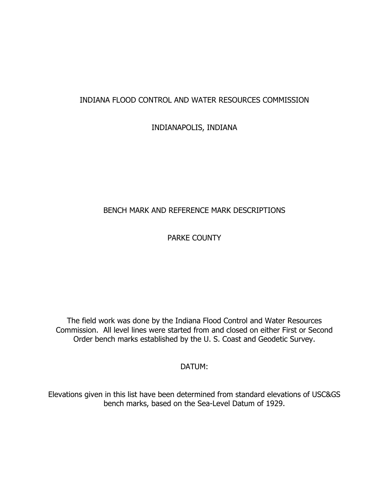# INDIANA FLOOD CONTROL AND WATER RESOURCES COMMISSION

INDIANAPOLIS, INDIANA

# BENCH MARK AND REFERENCE MARK DESCRIPTIONS

PARKE COUNTY

The field work was done by the Indiana Flood Control and Water Resources Commission. All level lines were started from and closed on either First or Second Order bench marks established by the U.S. Coast and Geodetic Survey.

DATUM:

Elevations given in this list have been determined from standard elevations of USC&GS bench marks, based on the Sea-Level Datum of 1929.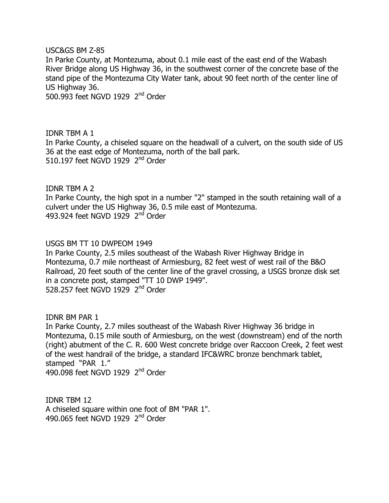$USC&GS$  BM  $Z-85$ 

In Parke County, at Montezuma, about 0.1 mile east of the east end of the Wabash River Bridge along US Highway 36, in the southwest corner of the concrete base of the stand pipe of the Montezuma City Water tank, about 90 feet north of the center line of US Highway 36.

500.993 feet NGVD 1929  $2<sup>nd</sup>$  Order

IDNR TBM A 1 In Parke County, a chiseled square on the headwall of a culvert, on the south side of US 36 at the east edge of Montezuma, north of the ball park. 510.197 feet NGVD 1929  $2<sup>nd</sup>$  Order

IDNR TBM A 2 In Parke County, the high spot in a number "2" stamped in the south retaining wall of a culvert under the US Highway 36, 0.5 mile east of Montezuma. 493.924 feet NGVD 1929  $2<sup>nd</sup>$  Order

USGS BM TT 10 DWPEOM 1949

In Parke County, 2.5 miles southeast of the Wabash River Highway Bridge in Montezuma, 0.7 mile northeast of Armiesburg, 82 feet west of west rail of the B&O Railroad, 20 feet south of the center line of the gravel crossing, a USGS bronze disk set in a concrete post, stamped "TT 10 DWP 1949". 528.257 feet NGVD 1929  $2<sup>nd</sup>$  Order

**IDNR BM PAR 1** In Parke County, 2.7 miles southeast of the Wabash River Highway 36 bridge in Montezuma, 0.15 mile south of Armiesburg, on the west (downstream) end of the north (right) abutment of the C. R. 600 West concrete bridge over Raccoon Creek, 2 feet west of the west handrail of the bridge, a standard IFC&WRC bronze benchmark tablet, stamped "PAR 1." 490.098 feet NGVD 1929 2<sup>nd</sup> Order

**IDNR TBM 12** A chiseled square within one foot of BM "PAR 1". 490.065 feet NGVD 1929  $2<sup>nd</sup>$  Order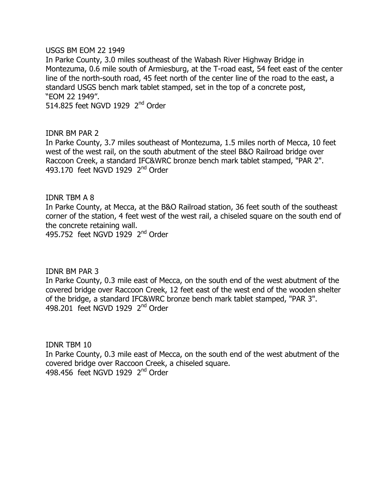USGS BM EOM 22 1949

In Parke County, 3.0 miles southeast of the Wabash River Highway Bridge in Montezuma, 0.6 mile south of Armiesburg, at the T-road east, 54 feet east of the center line of the north-south road, 45 feet north of the center line of the road to the east, a standard USGS bench mark tablet stamped, set in the top of a concrete post, "EOM 22 1949".

514.825 feet NGVD 1929  $2<sup>nd</sup>$  Order

IDNR BM PAR 2 In Parke County, 3.7 miles southeast of Montezuma, 1.5 miles north of Mecca, 10 feet west of the west rail, on the south abutment of the steel B&O Railroad bridge over Raccoon Creek, a standard IFC&WRC bronze bench mark tablet stamped, "PAR 2". 493.170 feet NGVD 1929  $2<sup>nd</sup>$  Order

**IDNR TBM A 8** 

In Parke County, at Mecca, at the B&O Railroad station, 36 feet south of the southeast corner of the station, 4 feet west of the west rail, a chiseled square on the south end of the concrete retaining wall.

495.752 feet NGVD 1929  $2<sup>nd</sup>$  Order

IDNR BM PAR 3

In Parke County, 0.3 mile east of Mecca, on the south end of the west abutment of the covered bridge over Raccoon Creek, 12 feet east of the west end of the wooden shelter of the bridge, a standard IFC&WRC bronze bench mark tablet stamped, "PAR 3". 498.201 feet NGVD 1929  $2<sup>nd</sup>$  Order

IDNR TBM 10 In Parke County, 0.3 mile east of Mecca, on the south end of the west abutment of the covered bridge over Raccoon Creek, a chiseled square.  $498.456$  feet NGVD 1929  $2<sup>nd</sup>$  Order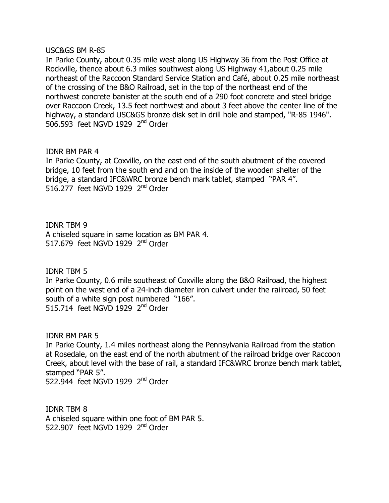#### USC&GS BM R-85

In Parke County, about 0.35 mile west along US Highway 36 from the Post Office at Rockville, thence about 6.3 miles southwest along US Highway 41, about 0.25 mile northeast of the Raccoon Standard Service Station and Café, about 0.25 mile northeast of the crossing of the B&O Railroad, set in the top of the northeast end of the northwest concrete banister at the south end of a 290 foot concrete and steel bridge over Raccoon Creek, 13.5 feet northwest and about 3 feet above the center line of the highway, a standard USC&GS bronze disk set in drill hole and stamped, "R-85 1946". 506.593 feet NGVD 1929 2<sup>nd</sup> Order

#### IDNR BM PAR 4

In Parke County, at Coxville, on the east end of the south abutment of the covered bridge, 10 feet from the south end and on the inside of the wooden shelter of the bridge, a standard IFC&WRC bronze bench mark tablet, stamped "PAR 4". 516.277 feet NGVD 1929  $2<sup>nd</sup>$  Order

**IDNR TBM 9** A chiseled square in same location as BM PAR 4. 517.679 feet NGVD 1929  $2<sup>nd</sup>$  Order

**IDNR TBM 5** 

In Parke County, 0.6 mile southeast of Coxville along the B&O Railroad, the highest point on the west end of a 24-inch diameter iron culvert under the railroad, 50 feet south of a white sign post numbered "166". 515.714 feet NGVD 1929  $2<sup>nd</sup>$  Order

IDNR BM PAR 5 In Parke County, 1.4 miles northeast along the Pennsylvania Railroad from the station at Rosedale, on the east end of the north abutment of the railroad bridge over Raccoon Creek, about level with the base of rail, a standard IFC&WRC bronze bench mark tablet, stamped "PAR 5". 522.944 feet NGVD 1929  $2<sup>nd</sup>$  Order

**IDNR TBM 8** A chiseled square within one foot of BM PAR 5. 522.907 feet NGVD 1929 2<sup>nd</sup> Order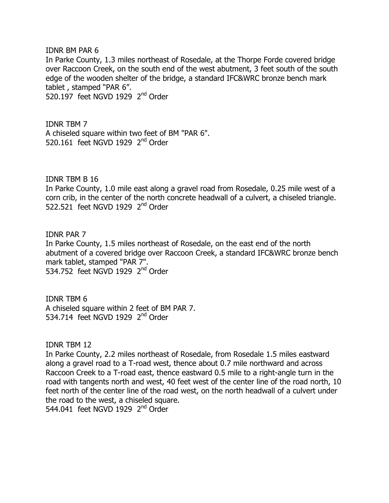IDNR BM PAR 6 In Parke County, 1.3 miles northeast of Rosedale, at the Thorpe Forde covered bridge over Raccoon Creek, on the south end of the west abutment, 3 feet south of the south edge of the wooden shelter of the bridge, a standard IFC&WRC bronze bench mark tablet, stamped "PAR 6". 520.197 feet NGVD 1929  $2<sup>nd</sup>$  Order

**IDNR TBM 7** A chiseled square within two feet of BM "PAR 6". 520.161 feet NGVD 1929  $2<sup>nd</sup>$  Order

 $IDNR$  TBM  $B$  16

In Parke County, 1.0 mile east along a gravel road from Rosedale, 0.25 mile west of a corn crib, in the center of the north concrete headwall of a culvert, a chiseled triangle. 522.521 feet NGVD 1929  $2<sup>nd</sup>$  Order

**IDNR PAR 7** In Parke County, 1.5 miles northeast of Rosedale, on the east end of the north abutment of a covered bridge over Raccoon Creek, a standard IFC&WRC bronze bench mark tablet, stamped "PAR 7". 534.752 feet NGVD 1929  $2<sup>nd</sup>$  Order

**IDNR TBM 6** A chiseled square within 2 feet of BM PAR 7. 534.714 feet NGVD 1929  $2<sup>nd</sup>$  Order

**IDNR TBM 12** 

In Parke County, 2.2 miles northeast of Rosedale, from Rosedale 1.5 miles eastward along a gravel road to a T-road west, thence about 0.7 mile northward and across Raccoon Creek to a T-road east, thence eastward 0.5 mile to a right-angle turn in the road with tangents north and west, 40 feet west of the center line of the road north, 10 feet north of the center line of the road west, on the north headwall of a culvert under the road to the west, a chiseled square. 544.041 feet NGVD 1929  $2<sup>nd</sup>$  Order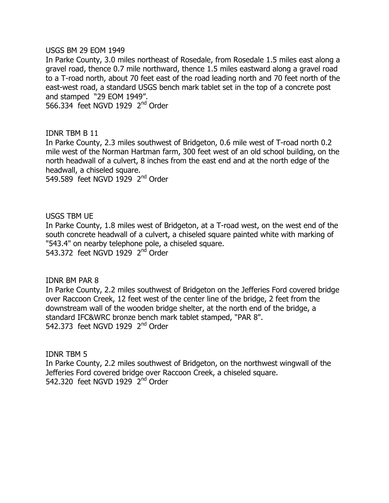USGS BM 29 EOM 1949

In Parke County, 3.0 miles northeast of Rosedale, from Rosedale 1.5 miles east along a gravel road, thence 0.7 mile northward, thence 1.5 miles eastward along a gravel road to a T-road north, about 70 feet east of the road leading north and 70 feet north of the east-west road, a standard USGS bench mark tablet set in the top of a concrete post and stamped "29 EOM 1949".

566.334 feet NGVD 1929 2<sup>nd</sup> Order

### IDNR TBM B 11

In Parke County, 2.3 miles southwest of Bridgeton, 0.6 mile west of T-road north 0.2 mile west of the Norman Hartman farm, 300 feet west of an old school building, on the north headwall of a culvert, 8 inches from the east end and at the north edge of the headwall, a chiseled square.

549.589 feet NGVD 1929  $2<sup>nd</sup>$  Order

USGS TBM UE

In Parke County, 1.8 miles west of Bridgeton, at a T-road west, on the west end of the south concrete headwall of a culvert, a chiseled square painted white with marking of "543.4" on nearby telephone pole, a chiseled square. 543.372 feet NGVD 1929 2<sup>nd</sup> Order

IDNR BM PAR 8

In Parke County, 2.2 miles southwest of Bridgeton on the Jefferies Ford covered bridge over Raccoon Creek, 12 feet west of the center line of the bridge, 2 feet from the downstream wall of the wooden bridge shelter, at the north end of the bridge, a standard IFC&WRC bronze bench mark tablet stamped, "PAR 8". 542,373 feet NGVD 1929  $2<sup>nd</sup>$  Order

**IDNR TBM 5** In Parke County, 2.2 miles southwest of Bridgeton, on the northwest wingwall of the Jefferies Ford covered bridge over Raccoon Creek, a chiseled square. 542.320 feet NGVD 1929  $2<sup>nd</sup>$  Order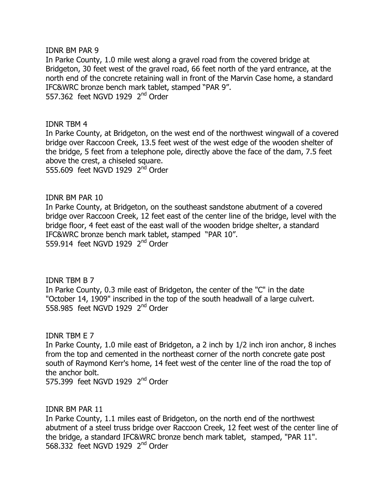IDNR BM PAR 9

In Parke County, 1.0 mile west along a gravel road from the covered bridge at Bridgeton, 30 feet west of the gravel road, 66 feet north of the yard entrance, at the north end of the concrete retaining wall in front of the Marvin Case home, a standard IFC&WRC bronze bench mark tablet, stamped "PAR 9". 557.362 feet NGVD 1929  $2<sup>nd</sup>$  Order

**IDNR TBM 4** 

In Parke County, at Bridgeton, on the west end of the northwest wingwall of a covered bridge over Raccoon Creek, 13.5 feet west of the west edge of the wooden shelter of the bridge, 5 feet from a telephone pole, directly above the face of the dam, 7.5 feet above the crest, a chiseled square. 555,609 feet NGVD 1929  $2<sup>nd</sup>$  Order

IDNR BM PAR 10

In Parke County, at Bridgeton, on the southeast sandstone abutment of a covered bridge over Raccoon Creek, 12 feet east of the center line of the bridge, level with the bridge floor, 4 feet east of the east wall of the wooden bridge shelter, a standard IFC&WRC bronze bench mark tablet, stamped "PAR 10". 559.914 feet NGVD 1929  $2<sup>nd</sup>$  Order

**IDNR TBM B 7** In Parke County, 0.3 mile east of Bridgeton, the center of the "C" in the date "October 14, 1909" inscribed in the top of the south headwall of a large culvert. 558.985 feet NGVD 1929  $2<sup>nd</sup>$  Order

**IDNR TBM E 7** 

In Parke County, 1.0 mile east of Bridgeton, a 2 inch by 1/2 inch iron anchor, 8 inches from the top and cemented in the northeast corner of the north concrete gate post south of Raymond Kerr's home, 14 feet west of the center line of the road the top of the anchor bolt.

575.399 feet NGVD 1929  $2<sup>nd</sup>$  Order

IDNR BM PAR 11

In Parke County, 1.1 miles east of Bridgeton, on the north end of the northwest abutment of a steel truss bridge over Raccoon Creek, 12 feet west of the center line of the bridge, a standard IFC&WRC bronze bench mark tablet, stamped, "PAR 11". 568,332 feet NGVD 1929  $2<sup>nd</sup>$  Order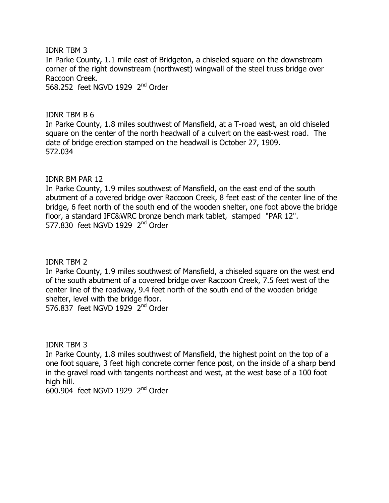**IDNR TBM 3** In Parke County, 1.1 mile east of Bridgeton, a chiseled square on the downstream corner of the right downstream (northwest) wingwall of the steel truss bridge over Raccoon Creek. 568.252 feet NGVD 1929  $2<sup>nd</sup>$  Order

**IDNR TBM B 6** 

In Parke County, 1.8 miles southwest of Mansfield, at a T-road west, an old chiseled square on the center of the north headwall of a culvert on the east-west road. The date of bridge erection stamped on the headwall is October 27, 1909. 572.034

## IDNR BM PAR 12

In Parke County, 1.9 miles southwest of Mansfield, on the east end of the south abutment of a covered bridge over Raccoon Creek, 8 feet east of the center line of the bridge, 6 feet north of the south end of the wooden shelter, one foot above the bridge floor, a standard IFC&WRC bronze bench mark tablet, stamped "PAR 12". 577.830 feet NGVD 1929 2<sup>nd</sup> Order

## **IDNR TBM 2**

In Parke County, 1.9 miles southwest of Mansfield, a chiseled square on the west end of the south abutment of a covered bridge over Raccoon Creek, 7.5 feet west of the center line of the roadway, 9.4 feet north of the south end of the wooden bridge shelter, level with the bridge floor.

576.837 feet NGVD 1929  $2<sup>nd</sup>$  Order

**IDNR TBM 3** 

In Parke County, 1.8 miles southwest of Mansfield, the highest point on the top of a one foot square, 3 feet high concrete corner fence post, on the inside of a sharp bend in the gravel road with tangents northeast and west, at the west base of a 100 foot high hill.

 $600.904$  feet NGVD 1929  $2<sup>nd</sup>$  Order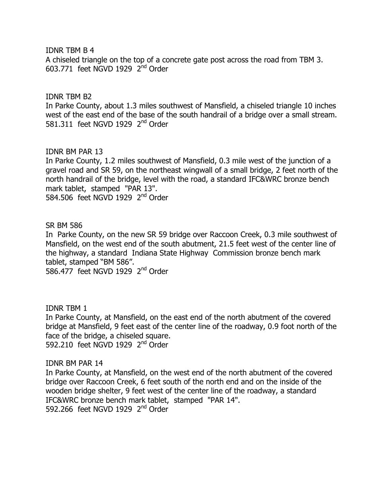#### $IDNR$  TBM  $B$  4

A chiseled triangle on the top of a concrete gate post across the road from TBM 3.  $603.771$  feet NGVD 1929  $2<sup>nd</sup>$  Order

#### **IDNR TBM B2**

In Parke County, about 1.3 miles southwest of Mansfield, a chiseled triangle 10 inches west of the east end of the base of the south handrail of a bridge over a small stream. 581.311 feet NGVD 1929  $2<sup>nd</sup>$  Order

### IDNR BM PAR 13

In Parke County, 1.2 miles southwest of Mansfield, 0.3 mile west of the junction of a gravel road and SR 59, on the northeast wingwall of a small bridge, 2 feet north of the north handrail of the bridge, level with the road, a standard IFC&WRC bronze bench mark tablet, stamped "PAR 13". 584.506 feet NGVD 1929  $2<sup>nd</sup>$  Order

### SR BM 586

In Parke County, on the new SR 59 bridge over Raccoon Creek, 0.3 mile southwest of Mansfield, on the west end of the south abutment, 21.5 feet west of the center line of the highway, a standard Indiana State Highway Commission bronze bench mark tablet, stamped "BM 586".

586.477 feet NGVD 1929  $2<sup>nd</sup>$  Order

#### **IDNR TBM 1**

In Parke County, at Mansfield, on the east end of the north abutment of the covered bridge at Mansfield, 9 feet east of the center line of the roadway, 0.9 foot north of the face of the bridge, a chiseled square. 592.210 feet NGVD 1929 2<sup>nd</sup> Order

#### IDNR BM PAR 14

In Parke County, at Mansfield, on the west end of the north abutment of the covered bridge over Raccoon Creek, 6 feet south of the north end and on the inside of the wooden bridge shelter, 9 feet west of the center line of the roadway, a standard IFC&WRC bronze bench mark tablet, stamped "PAR 14". 592.266 feet NGVD 1929 2<sup>nd</sup> Order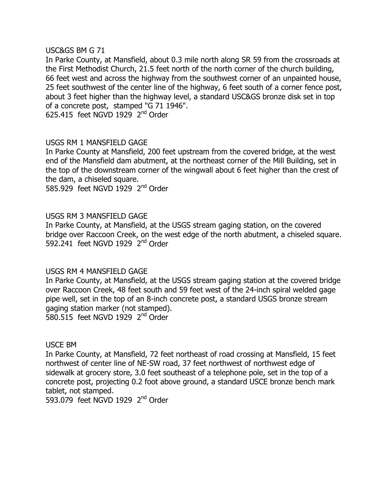### $USC&GS$  BM  $G$  71

In Parke County, at Mansfield, about 0.3 mile north along SR 59 from the crossroads at the First Methodist Church, 21.5 feet north of the north corner of the church building, 66 feet west and across the highway from the southwest corner of an unpainted house, 25 feet southwest of the center line of the highway, 6 feet south of a corner fence post, about 3 feet higher than the highway level, a standard USC&GS bronze disk set in top of a concrete post, stamped "G 71 1946".

625.415 feet NGVD 1929  $2<sup>nd</sup>$  Order

# USGS RM 1 MANSFIELD GAGE

In Parke County at Mansfield, 200 feet upstream from the covered bridge, at the west end of the Mansfield dam abutment, at the northeast corner of the Mill Building, set in the top of the downstream corner of the wingwall about 6 feet higher than the crest of the dam, a chiseled square.

585.929 feet NGVD 1929  $2<sup>nd</sup>$  Order

## USGS RM 3 MANSFIELD GAGE

In Parke County, at Mansfield, at the USGS stream gaging station, on the covered bridge over Raccoon Creek, on the west edge of the north abutment, a chiseled square. 592.241 feet NGVD 1929  $2<sup>nd</sup>$  Order

## USGS RM 4 MANSFIELD GAGE

In Parke County, at Mansfield, at the USGS stream gaging station at the covered bridge over Raccoon Creek, 48 feet south and 59 feet west of the 24-inch spiral welded gage pipe well, set in the top of an 8-inch concrete post, a standard USGS bronze stream gaging station marker (not stamped). 580.515 feet NGVD 1929  $2<sup>nd</sup>$  Order

#### USCE BM

In Parke County, at Mansfield, 72 feet northeast of road crossing at Mansfield, 15 feet northwest of center line of NE-SW road, 37 feet northwest of northwest edge of sidewalk at grocery store, 3.0 feet southeast of a telephone pole, set in the top of a concrete post, projecting 0.2 foot above ground, a standard USCE bronze bench mark tablet, not stamped.

593.079 feet NGVD 1929  $2<sup>nd</sup>$  Order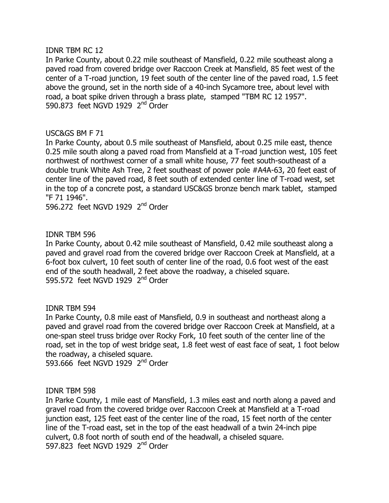#### **IDNR TBM RC 12**

In Parke County, about 0.22 mile southeast of Mansfield, 0.22 mile southeast along a paved road from covered bridge over Raccoon Creek at Mansfield, 85 feet west of the center of a T-road junction, 19 feet south of the center line of the paved road, 1.5 feet above the ground, set in the north side of a 40-inch Sycamore tree, about level with road, a boat spike driven through a brass plate, stamped "TBM RC 12 1957". 590.873 feet NGVD 1929  $2<sup>nd</sup>$  Order

## USC& GS BM F 71

In Parke County, about 0.5 mile southeast of Mansfield, about 0.25 mile east, thence 0.25 mile south along a paved road from Mansfield at a T-road junction west, 105 feet northwest of northwest corner of a small white house, 77 feet south-southeast of a double trunk White Ash Tree, 2 feet southeast of power pole #A4A-63, 20 feet east of center line of the paved road, 8 feet south of extended center line of T-road west, set in the top of a concrete post, a standard USC&GS bronze bench mark tablet, stamped "F 71 1946".

596.272 feet NGVD 1929  $2<sup>nd</sup>$  Order

## **IDNR TBM 596**

In Parke County, about 0.42 mile southeast of Mansfield, 0.42 mile southeast along a paved and gravel road from the covered bridge over Raccoon Creek at Mansfield, at a 6-foot box culvert, 10 feet south of center line of the road, 0.6 foot west of the east end of the south headwall, 2 feet above the roadway, a chiseled square. 595.572 feet NGVD 1929  $2<sup>nd</sup>$  Order

## IDNR TBM 594

In Parke County, 0.8 mile east of Mansfield, 0.9 in southeast and northeast along a paved and gravel road from the covered bridge over Raccoon Creek at Mansfield, at a one-span steel truss bridge over Rocky Fork, 10 feet south of the center line of the road, set in the top of west bridge seat, 1.8 feet west of east face of seat, 1 foot below the roadway, a chiseled square.

593.666 feet NGVD 1929  $2<sup>nd</sup>$  Order

## **IDNR TBM 598**

In Parke County, 1 mile east of Mansfield, 1.3 miles east and north along a paved and gravel road from the covered bridge over Raccoon Creek at Mansfield at a T-road junction east, 125 feet east of the center line of the road, 15 feet north of the center line of the T-road east, set in the top of the east headwall of a twin 24-inch pipe culvert, 0.8 foot north of south end of the headwall, a chiseled square. 597,823 feet NGVD 1929  $2<sup>nd</sup>$  Order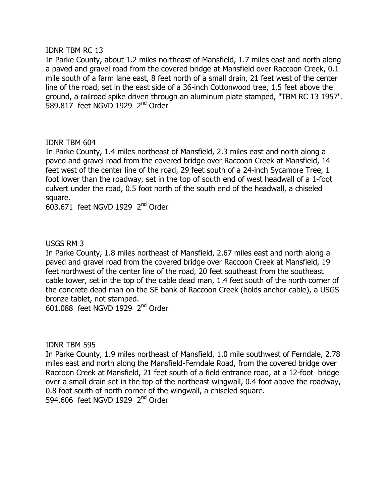### **IDNR TBM RC 13**

In Parke County, about 1.2 miles northeast of Mansfield, 1.7 miles east and north along a paved and gravel road from the covered bridge at Mansfield over Raccoon Creek, 0.1 mile south of a farm lane east, 8 feet north of a small drain, 21 feet west of the center line of the road, set in the east side of a 36-inch Cottonwood tree, 1.5 feet above the ground, a railroad spike driven through an aluminum plate stamped, "TBM RC 13 1957".  $589.817$  feet NGVD 1929  $2<sup>nd</sup>$  Order

## **IDNR TBM 604**

In Parke County, 1.4 miles northeast of Mansfield, 2.3 miles east and north along a paved and gravel road from the covered bridge over Raccoon Creek at Mansfield, 14 feet west of the center line of the road, 29 feet south of a 24-inch Sycamore Tree, 1 foot lower than the roadway, set in the top of south end of west headwall of a 1-foot culvert under the road, 0.5 foot north of the south end of the headwall, a chiseled square.

 $603.671$  feet NGVD 1929  $2<sup>nd</sup>$  Order

# USGS RM 3

In Parke County, 1.8 miles northeast of Mansfield, 2.67 miles east and north along a paved and gravel road from the covered bridge over Raccoon Creek at Mansfield, 19 feet northwest of the center line of the road, 20 feet southeast from the southeast cable tower, set in the top of the cable dead man, 1.4 feet south of the north corner of the concrete dead man on the SE bank of Raccoon Creek (holds anchor cable), a USGS bronze tablet, not stamped.

 $601.088$  feet NGVD 1929  $2<sup>nd</sup>$  Order

**IDNR TBM 595** 

In Parke County, 1.9 miles northeast of Mansfield, 1.0 mile southwest of Ferndale, 2.78 miles east and north along the Mansfield-Ferndale Road, from the covered bridge over Raccoon Creek at Mansfield, 21 feet south of a field entrance road, at a 12-foot bridge over a small drain set in the top of the northeast wingwall, 0.4 foot above the roadway, 0.8 foot south of north corner of the wingwall, a chiseled square. 594.606 feet NGVD 1929 2<sup>nd</sup> Order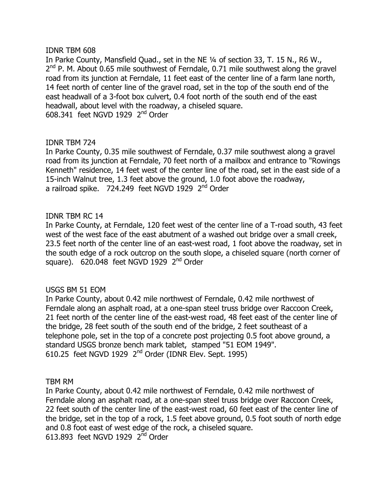### **IDNR TBM 608**

In Parke County, Mansfield Quad., set in the NE 1/4 of section 33, T. 15 N., R6 W.,  $2<sup>nd</sup>$  P. M. About 0.65 mile southwest of Ferndale, 0.71 mile southwest along the gravel road from its junction at Ferndale, 11 feet east of the center line of a farm lane north, 14 feet north of center line of the gravel road, set in the top of the south end of the east headwall of a 3-foot box culvert, 0.4 foot north of the south end of the east headwall, about level with the roadway, a chiseled square.  $608.341$  feet NGVD 1929  $2<sup>nd</sup>$  Order

## **IDNR TBM 724**

In Parke County, 0.35 mile southwest of Ferndale, 0.37 mile southwest along a gravel road from its junction at Ferndale, 70 feet north of a mailbox and entrance to "Rowings" Kenneth" residence, 14 feet west of the center line of the road, set in the east side of a 15-inch Walnut tree, 1.3 feet above the ground, 1.0 foot above the roadway, a railroad spike.  $724.249$  feet NGVD 1929  $2<sup>nd</sup>$  Order

## **IDNR TBM RC 14**

In Parke County, at Ferndale, 120 feet west of the center line of a T-road south, 43 feet west of the west face of the east abutment of a washed out bridge over a small creek, 23.5 feet north of the center line of an east-west road, 1 foot above the roadway, set in the south edge of a rock outcrop on the south slope, a chiseled square (north corner of square).  $620.048$  feet NGVD 1929  $2<sup>nd</sup>$  Order

## USGS BM 51 EOM

In Parke County, about 0.42 mile northwest of Ferndale, 0.42 mile northwest of Ferndale along an asphalt road, at a one-span steel truss bridge over Raccoon Creek, 21 feet north of the center line of the east-west road, 48 feet east of the center line of the bridge, 28 feet south of the south end of the bridge, 2 feet southeast of a telephone pole, set in the top of a concrete post projecting 0.5 foot above ground, a standard USGS bronze bench mark tablet, stamped "51 EOM 1949". 610.25 feet NGVD 1929  $2<sup>nd</sup>$  Order (IDNR Elev. Sept. 1995)

#### TBM RM

In Parke County, about 0.42 mile northwest of Ferndale, 0.42 mile northwest of Ferndale along an asphalt road, at a one-span steel truss bridge over Raccoon Creek, 22 feet south of the center line of the east-west road, 60 feet east of the center line of the bridge, set in the top of a rock, 1.5 feet above ground, 0.5 foot south of north edge and 0.8 foot east of west edge of the rock, a chiseled square. 613.893 feet NGVD 1929  $2<sup>nd</sup>$  Order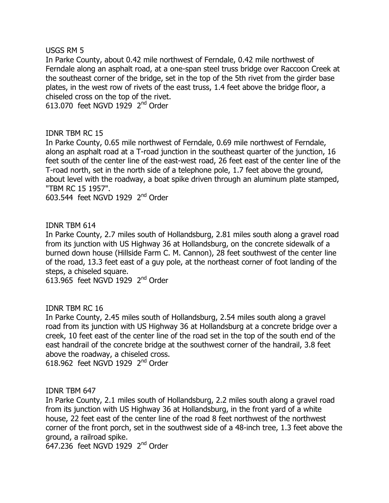#### **USGS RM 5**

In Parke County, about 0.42 mile northwest of Ferndale, 0.42 mile northwest of Ferndale along an asphalt road, at a one-span steel truss bridge over Raccoon Creek at the southeast corner of the bridge, set in the top of the 5th rivet from the girder base plates, in the west row of rivets of the east truss, 1.4 feet above the bridge floor, a chiseled cross on the top of the rivet.

613.070 feet NGVD 1929  $2<sup>nd</sup>$  Order

## **IDNR TBM RC 15**

In Parke County, 0.65 mile northwest of Ferndale, 0.69 mile northwest of Ferndale, along an asphalt road at a T-road junction in the southeast quarter of the junction, 16 feet south of the center line of the east-west road, 26 feet east of the center line of the T-road north, set in the north side of a telephone pole, 1.7 feet above the ground, about level with the roadway, a boat spike driven through an aluminum plate stamped, "TBM RC 15 1957".

 $603.544$  feet NGVD 1929  $2<sup>nd</sup>$  Order

## IDNR TBM 614

In Parke County, 2.7 miles south of Hollandsburg, 2.81 miles south along a gravel road from its junction with US Highway 36 at Hollandsburg, on the concrete sidewalk of a burned down house (Hillside Farm C. M. Cannon), 28 feet southwest of the center line of the road, 13.3 feet east of a guy pole, at the northeast corner of foot landing of the steps, a chiseled square.

613.965 feet NGVD 1929  $2<sup>nd</sup>$  Order

## **IDNR TBM RC 16**

In Parke County, 2.45 miles south of Hollandsburg, 2.54 miles south along a gravel road from its junction with US Highway 36 at Hollandsburg at a concrete bridge over a creek, 10 feet east of the center line of the road set in the top of the south end of the east handrail of the concrete bridge at the southwest corner of the handrail, 3.8 feet above the roadway, a chiseled cross. 618.962 feet NGVD 1929  $2<sup>nd</sup>$  Order

## **IDNR TBM 647**

In Parke County, 2.1 miles south of Hollandsburg, 2.2 miles south along a gravel road from its junction with US Highway 36 at Hollandsburg, in the front yard of a white house, 22 feet east of the center line of the road 8 feet northwest of the northwest corner of the front porch, set in the southwest side of a 48-inch tree, 1.3 feet above the around, a railroad spike.

647.236 feet NGVD 1929  $2<sup>nd</sup>$  Order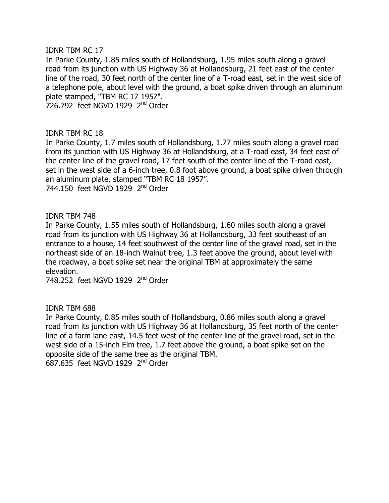### **IDNR TBM RC 17**

In Parke County, 1.85 miles south of Hollandsburg, 1.95 miles south along a gravel road from its junction with US Highway 36 at Hollandsburg, 21 feet east of the center line of the road, 30 feet north of the center line of a T-road east, set in the west side of a telephone pole, about level with the ground, a boat spike driven through an aluminum plate stamped, "TBM RC 17 1957".

726.792 feet NGVD 1929  $2<sup>nd</sup>$  Order

## **IDNR TBM RC 18**

In Parke County, 1.7 miles south of Hollandsburg, 1.77 miles south along a gravel road from its junction with US Highway 36 at Hollandsburg, at a T-road east, 34 feet east of the center line of the gravel road, 17 feet south of the center line of the T-road east, set in the west side of a 6-inch tree, 0.8 foot above ground, a boat spike driven through an aluminum plate, stamped "TBM RC 18 1957". 744.150 feet NGVD 1929  $2<sup>nd</sup>$  Order

### **IDNR TBM 748**

In Parke County, 1.55 miles south of Hollandsburg, 1.60 miles south along a gravel road from its junction with US Highway 36 at Hollandsburg, 33 feet southeast of an entrance to a house, 14 feet southwest of the center line of the gravel road, set in the northeast side of an 18-inch Walnut tree, 1.3 feet above the ground, about level with the roadway, a boat spike set near the original TBM at approximately the same elevation.

748.252 feet NGVD 1929 2<sup>nd</sup> Order

## **IDNR TBM 688**

In Parke County, 0.85 miles south of Hollandsburg, 0.86 miles south along a gravel road from its junction with US Highway 36 at Hollandsburg, 35 feet north of the center line of a farm lane east, 14.5 feet west of the center line of the gravel road, set in the west side of a 15-inch Elm tree, 1.7 feet above the ground, a boat spike set on the opposite side of the same tree as the original TBM. 687.635 feet NGVD 1929  $2<sup>nd</sup>$  Order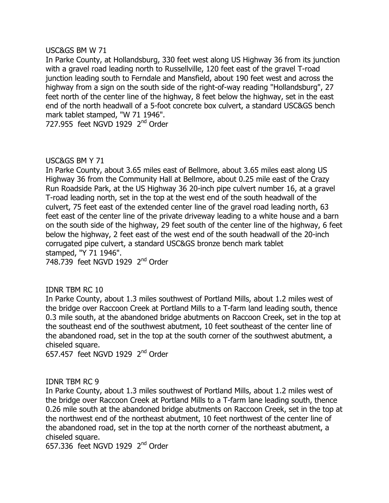### $USCAGS$  BM W 71

In Parke County, at Hollandsburg, 330 feet west along US Highway 36 from its junction with a gravel road leading north to Russellville, 120 feet east of the gravel T-road junction leading south to Ferndale and Mansfield, about 190 feet west and across the highway from a sign on the south side of the right-of-way reading "Hollandsburg", 27 feet north of the center line of the highway, 8 feet below the highway, set in the east end of the north headwall of a 5-foot concrete box culvert, a standard USC&GS bench mark tablet stamped, "W 71 1946".

727.955 feet NGVD 1929  $2<sup>nd</sup>$  Order

### USC&GS BM Y 71

In Parke County, about 3.65 miles east of Bellmore, about 3.65 miles east along US Highway 36 from the Community Hall at Bellmore, about 0.25 mile east of the Crazy Run Roadside Park, at the US Highway 36 20-inch pipe culvert number 16, at a gravel T-road leading north, set in the top at the west end of the south headwall of the culvert, 75 feet east of the extended center line of the gravel road leading north, 63 feet east of the center line of the private driveway leading to a white house and a barn on the south side of the highway, 29 feet south of the center line of the highway, 6 feet below the highway, 2 feet east of the west end of the south headwall of the 20-inch corrugated pipe culvert, a standard USC&GS bronze bench mark tablet stamped, "Y 71 1946". 748.739 feet NGVD 1929  $2<sup>nd</sup>$  Order

# IDNR TBM RC 10

In Parke County, about 1.3 miles southwest of Portland Mills, about 1.2 miles west of the bridge over Raccoon Creek at Portland Mills to a T-farm land leading south, thence 0.3 mile south, at the abandoned bridge abutments on Raccoon Creek, set in the top at the southeast end of the southwest abutment, 10 feet southeast of the center line of the abandoned road, set in the top at the south corner of the southwest abutment, a chiseled square.

657.457 feet NGVD 1929  $2<sup>nd</sup>$  Order

#### **IDNR TBM RC 9**

In Parke County, about 1.3 miles southwest of Portland Mills, about 1.2 miles west of the bridge over Raccoon Creek at Portland Mills to a T-farm lane leading south, thence 0.26 mile south at the abandoned bridge abutments on Raccoon Creek, set in the top at the northwest end of the northeast abutment, 10 feet northwest of the center line of the abandoned road, set in the top at the north corner of the northeast abutment, a chiseled square.

657,336 feet NGVD 1929  $2<sup>nd</sup>$  Order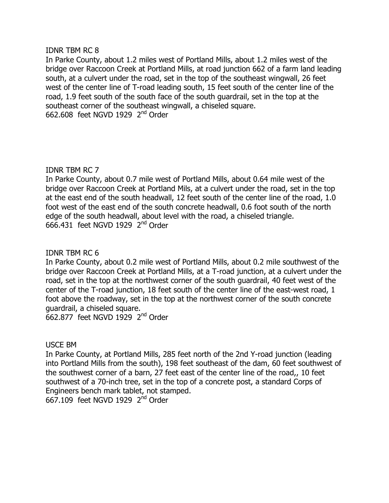### **IDNR TBM RC 8**

In Parke County, about 1.2 miles west of Portland Mills, about 1.2 miles west of the bridge over Raccoon Creek at Portland Mills, at road junction 662 of a farm land leading south, at a culvert under the road, set in the top of the southeast wingwall, 26 feet west of the center line of T-road leading south, 15 feet south of the center line of the road, 1.9 feet south of the south face of the south quardrail, set in the top at the southeast corner of the southeast wingwall, a chiseled square.  $662.608$  feet NGVD 1929  $2<sup>nd</sup>$  Order

## **IDNR TBM RC 7**

In Parke County, about 0.7 mile west of Portland Mills, about 0.64 mile west of the bridge over Raccoon Creek at Portland Mils, at a culvert under the road, set in the top at the east end of the south headwall, 12 feet south of the center line of the road, 1.0 foot west of the east end of the south concrete headwall, 0.6 foot south of the north edge of the south headwall, about level with the road, a chiseled triangle.  $666.431$  feet NGVD 1929  $2<sup>nd</sup>$  Order

## IDNR TBM RC 6

In Parke County, about 0.2 mile west of Portland Mills, about 0.2 mile southwest of the bridge over Raccoon Creek at Portland Mills, at a T-road junction, at a culvert under the road, set in the top at the northwest corner of the south guardrail, 40 feet west of the center of the T-road junction, 18 feet south of the center line of the east-west road, 1 foot above the roadway, set in the top at the northwest corner of the south concrete quardrail, a chiseled square.

662.877 feet NGVD 1929  $2<sup>nd</sup>$  Order

## USCE BM

In Parke County, at Portland Mills, 285 feet north of the 2nd Y-road junction (leading) into Portland Mills from the south), 198 feet southeast of the dam, 60 feet southwest of the southwest corner of a barn, 27 feet east of the center line of the road,, 10 feet southwest of a 70-inch tree, set in the top of a concrete post, a standard Corps of Engineers bench mark tablet, not stamped.

 $65$ <sub>7</sub>.109 feet NGVD 1929  $2<sup>nd</sup>$  Order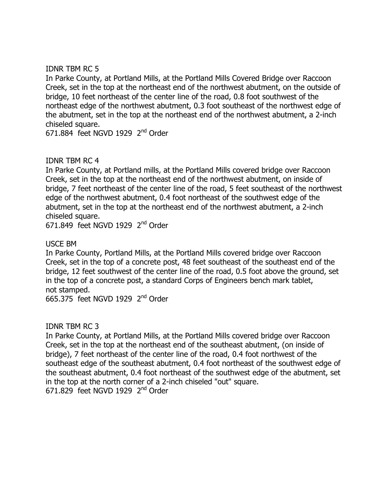## **IDNR TBM RC 5**

In Parke County, at Portland Mills, at the Portland Mills Covered Bridge over Raccoon Creek, set in the top at the northeast end of the northwest abutment, on the outside of bridge, 10 feet northeast of the center line of the road, 0.8 foot southwest of the northeast edge of the northwest abutment, 0.3 foot southeast of the northwest edge of the abutment, set in the top at the northeast end of the northwest abutment, a 2-inch chiseled square.

 $671.884$  feet NGVD 1929  $2<sup>nd</sup>$  Order

# **IDNR TBM RC 4**

In Parke County, at Portland mills, at the Portland Mills covered bridge over Raccoon Creek, set in the top at the northeast end of the northwest abutment, on inside of bridge, 7 feet northeast of the center line of the road, 5 feet southeast of the northwest edge of the northwest abutment, 0.4 foot northeast of the southwest edge of the abutment, set in the top at the northeast end of the northwest abutment, a 2-inch chiseled square.

 $671.849$  feet NGVD 1929  $2<sup>nd</sup>$  Order

# USCE BM

In Parke County, Portland Mills, at the Portland Mills covered bridge over Raccoon Creek, set in the top of a concrete post, 48 feet southeast of the southeast end of the bridge, 12 feet southwest of the center line of the road, 0.5 foot above the ground, set in the top of a concrete post, a standard Corps of Engineers bench mark tablet, not stamped.

 $665.375$  feet NGVD 1929  $2<sup>nd</sup>$  Order

## **IDNR TBM RC 3**

In Parke County, at Portland Mills, at the Portland Mills covered bridge over Raccoon Creek, set in the top at the northeast end of the southeast abutment, (on inside of bridge), 7 feet northeast of the center line of the road, 0.4 foot northwest of the southeast edge of the southeast abutment, 0.4 foot northeast of the southwest edge of the southeast abutment, 0.4 foot northeast of the southwest edge of the abutment, set in the top at the north corner of a 2-inch chiseled "out" square.  $671.829$  feet NGVD 1929  $2<sup>nd</sup>$  Order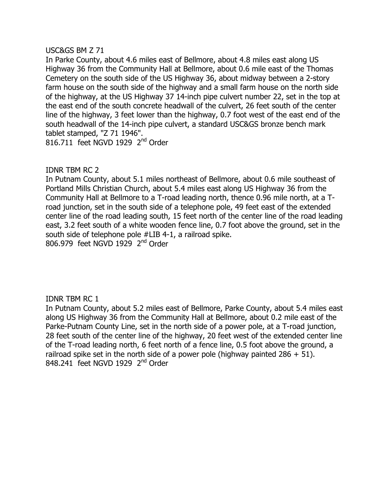### USC&GS BM Z 71

In Parke County, about 4.6 miles east of Bellmore, about 4.8 miles east along US Highway 36 from the Community Hall at Bellmore, about 0.6 mile east of the Thomas Cemetery on the south side of the US Highway 36, about midway between a 2-story farm house on the south side of the highway and a small farm house on the north side of the highway, at the US Highway 37 14-inch pipe culvert number 22, set in the top at the east end of the south concrete headwall of the culvert, 26 feet south of the center line of the highway, 3 feet lower than the highway, 0.7 foot west of the east end of the south headwall of the 14-inch pipe culvert, a standard USC&GS bronze bench mark tablet stamped, "Z 71 1946". 816.711 feet NGVD 1929  $2<sup>nd</sup>$  Order

## **IDNR TBM RC 2**

In Putnam County, about 5.1 miles northeast of Bellmore, about 0.6 mile southeast of Portland Mills Christian Church, about 5.4 miles east along US Highway 36 from the Community Hall at Bellmore to a T-road leading north, thence 0.96 mile north, at a Troad junction, set in the south side of a telephone pole, 49 feet east of the extended center line of the road leading south, 15 feet north of the center line of the road leading east, 3.2 feet south of a white wooden fence line, 0.7 foot above the ground, set in the south side of telephone pole #LIB 4-1, a railroad spike.  $806.979$  feet NGVD 1929  $2<sup>nd</sup>$  Order

## **IDNR TBM RC 1**

In Putnam County, about 5.2 miles east of Bellmore, Parke County, about 5.4 miles east along US Highway 36 from the Community Hall at Bellmore, about 0.2 mile east of the Parke-Putnam County Line, set in the north side of a power pole, at a T-road junction, 28 feet south of the center line of the highway, 20 feet west of the extended center line of the T-road leading north, 6 feet north of a fence line, 0.5 foot above the ground, a railroad spike set in the north side of a power pole (highway painted  $286 + 51$ ). 848.241 feet NGVD 1929 2<sup>nd</sup> Order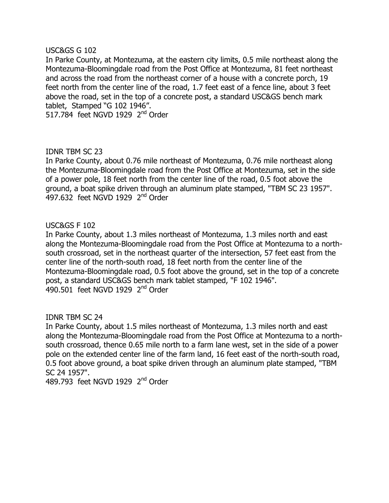### USC&GS G 102

In Parke County, at Montezuma, at the eastern city limits, 0.5 mile northeast along the Montezuma-Bloomingdale road from the Post Office at Montezuma, 81 feet northeast and across the road from the northeast corner of a house with a concrete porch, 19 feet north from the center line of the road, 1.7 feet east of a fence line, about 3 feet above the road, set in the top of a concrete post, a standard USC&GS bench mark tablet, Stamped "G 102 1946".

517,784 feet NGVD 1929  $2<sup>nd</sup>$  Order

## **IDNR TBM SC 23**

In Parke County, about 0.76 mile northeast of Montezuma, 0.76 mile northeast along the Montezuma-Bloomingdale road from the Post Office at Montezuma, set in the side of a power pole, 18 feet north from the center line of the road, 0.5 foot above the ground, a boat spike driven through an aluminum plate stamped, "TBM SC 23 1957". 497.632 feet NGVD 1929 2<sup>nd</sup> Order

## **USC&GS F 102**

In Parke County, about 1.3 miles northeast of Montezuma, 1.3 miles north and east along the Montezuma-Bloomingdale road from the Post Office at Montezuma to a northsouth crossroad, set in the northeast quarter of the intersection, 57 feet east from the center line of the north-south road, 18 feet north from the center line of the Montezuma-Bloomingdale road, 0.5 foot above the ground, set in the top of a concrete post, a standard USC&GS bench mark tablet stamped, "F 102 1946". 490.501 feet NGVD 1929  $2<sup>nd</sup>$  Order

## **IDNR TBM SC 24**

In Parke County, about 1.5 miles northeast of Montezuma, 1.3 miles north and east along the Montezuma-Bloomingdale road from the Post Office at Montezuma to a northsouth crossroad, thence 0.65 mile north to a farm lane west, set in the side of a power pole on the extended center line of the farm land, 16 feet east of the north-south road, 0.5 foot above ground, a boat spike driven through an aluminum plate stamped, "TBM SC 24 1957".

489.793 feet NGVD 1929 2<sup>nd</sup> Order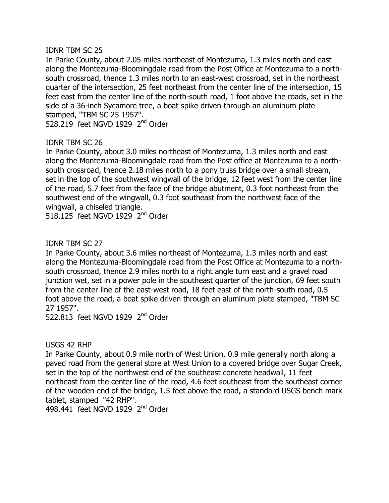## **IDNR TBM SC 25**

In Parke County, about 2.05 miles northeast of Montezuma, 1.3 miles north and east along the Montezuma-Bloomingdale road from the Post Office at Montezuma to a northsouth crossroad, thence 1.3 miles north to an east-west crossroad, set in the northeast quarter of the intersection, 25 feet northeast from the center line of the intersection, 15 feet east from the center line of the north-south road, 1 foot above the roads, set in the side of a 36-inch Sycamore tree, a boat spike driven through an aluminum plate stamped, "TBM SC 25 1957".

528.219 feet NGVD 1929  $2<sup>nd</sup>$  Order

# **IDNR TBM SC 26**

In Parke County, about 3.0 miles northeast of Montezuma, 1.3 miles north and east along the Montezuma-Bloomingdale road from the Post office at Montezuma to a northsouth crossroad, thence 2.18 miles north to a pony truss bridge over a small stream, set in the top of the southwest wingwall of the bridge, 12 feet west from the center line of the road, 5.7 feet from the face of the bridge abutment, 0.3 foot northeast from the southwest end of the wingwall, 0.3 foot southeast from the northwest face of the wingwall, a chiseled triangle.

518.125 feet NGVD 1929  $2<sup>nd</sup>$  Order

# **IDNR TBM SC 27**

In Parke County, about 3.6 miles northeast of Montezuma, 1.3 miles north and east along the Montezuma-Bloomingdale road from the Post Office at Montezuma to a northsouth crossroad, thence 2.9 miles north to a right angle turn east and a gravel road junction wet, set in a power pole in the southeast quarter of the junction, 69 feet south from the center line of the east-west road, 18 feet east of the north-south road, 0.5 foot above the road, a boat spike driven through an aluminum plate stamped, "TBM SC 27 1957".

522.813 feet NGVD 1929 2<sup>nd</sup> Order

# **USGS 42 RHP**

In Parke County, about 0.9 mile north of West Union, 0.9 mile generally north along a paved road from the general store at West Union to a covered bridge over Sugar Creek, set in the top of the northwest end of the southeast concrete headwall, 11 feet northeast from the center line of the road, 4.6 feet southeast from the southeast corner of the wooden end of the bridge, 1.5 feet above the road, a standard USGS bench mark tablet, stamped "42 RHP".

498,441 feet NGVD 1929  $2<sup>nd</sup>$  Order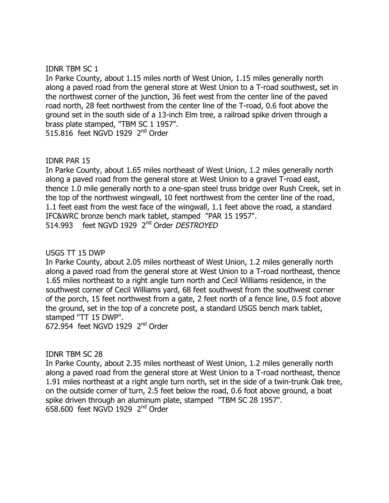### **IDNR TBM SC 1**

In Parke County, about 1.15 miles north of West Union, 1.15 miles generally north along a paved road from the general store at West Union to a T-road southwest, set in the northwest corner of the junction, 36 feet west from the center line of the paved road north, 28 feet northwest from the center line of the T-road, 0.6 foot above the ground set in the south side of a 13-inch Elm tree, a railroad spike driven through a brass plate stamped, "TBM SC 1 1957". 515.816 feet NGVD 1929  $2<sup>nd</sup>$  Order

### IDNR PAR 15

In Parke County, about 1.65 miles northeast of West Union, 1.2 miles generally north along a paved road from the general store at West Union to a gravel T-road east, thence 1.0 mile generally north to a one-span steel truss bridge over Rush Creek, set in the top of the northwest wingwall, 10 feet northwest from the center line of the road, 1.1 feet east from the west face of the wingwall, 1.1 feet above the road, a standard IFC&WRC bronze bench mark tablet, stamped "PAR 15 1957". 514.993 feet NGVD 1929 2<sup>nd</sup> Order DESTROYED

## $USGS$  TT 15 DWP

In Parke County, about 2.05 miles northeast of West Union, 1.2 miles generally north along a paved road from the general store at West Union to a T-road northeast, thence 1.65 miles northeast to a right angle turn north and Cecil Williams residence, in the southwest corner of Cecil Williams yard, 68 feet southwest from the southwest corner of the porch, 15 feet northwest from a gate, 2 feet north of a fence line, 0.5 foot above the ground, set in the top of a concrete post, a standard USGS bench mark tablet, stamped "TT 15 DWP".

 $672.954$  feet NGVD 1929  $2<sup>nd</sup>$  Order

## **IDNR TBM SC 28**

In Parke County, about 2.35 miles northeast of West Union, 1.2 miles generally north along a paved road from the general store at West Union to a T-road northeast, thence 1.91 miles northeast at a right angle turn north, set in the side of a twin-trunk Oak tree, on the outside corner of turn, 2.5 feet below the road, 0.6 foot above ground, a boat spike driven through an aluminum plate, stamped "TBM SC 28 1957".  $658.600$  feet NGVD 1929  $2<sup>nd</sup>$  Order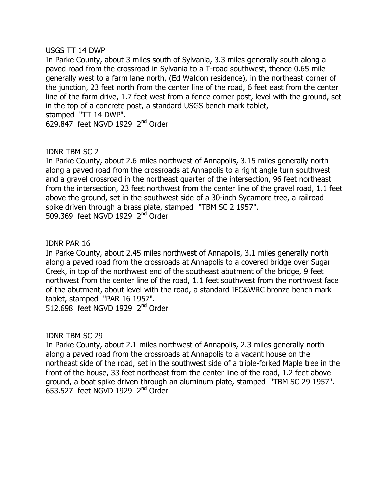### $USGS$  TT 14 DWP

In Parke County, about 3 miles south of Sylvania, 3.3 miles generally south along a paved road from the crossroad in Sylvania to a T-road southwest, thence 0.65 mile generally west to a farm lane north, (Ed Waldon residence), in the northeast corner of the junction, 23 feet north from the center line of the road, 6 feet east from the center line of the farm drive, 1.7 feet west from a fence corner post, level with the ground, set in the top of a concrete post, a standard USGS bench mark tablet, stamped "TT 14 DWP". 629.847 feet NGVD 1929  $2<sup>nd</sup>$  Order

## **IDNR TBM SC 2**

In Parke County, about 2.6 miles northwest of Annapolis, 3.15 miles generally north along a paved road from the crossroads at Annapolis to a right angle turn southwest and a gravel crossroad in the northeast quarter of the intersection, 96 feet northeast from the intersection, 23 feet northwest from the center line of the gravel road, 1.1 feet above the ground, set in the southwest side of a 30-inch Sycamore tree, a railroad spike driven through a brass plate, stamped "TBM SC 2 1957". 509.369 feet NGVD 1929 2<sup>nd</sup> Order

## IDNR PAR 16

In Parke County, about 2.45 miles northwest of Annapolis, 3.1 miles generally north along a paved road from the crossroads at Annapolis to a covered bridge over Sugar Creek, in top of the northwest end of the southeast abutment of the bridge, 9 feet northwest from the center line of the road, 1.1 feet southwest from the northwest face of the abutment, about level with the road, a standard IFC&WRC bronze bench mark tablet, stamped "PAR 16 1957".

512.698 feet NGVD 1929  $2<sup>nd</sup>$  Order

## **IDNR TBM SC 29**

In Parke County, about 2.1 miles northwest of Annapolis, 2.3 miles generally north along a paved road from the crossroads at Annapolis to a vacant house on the northeast side of the road, set in the southwest side of a triple-forked Maple tree in the front of the house, 33 feet northeast from the center line of the road, 1.2 feet above ground, a boat spike driven through an aluminum plate, stamped "TBM SC 29 1957".  $653.527$  feet NGVD 1929  $2<sup>nd</sup>$  Order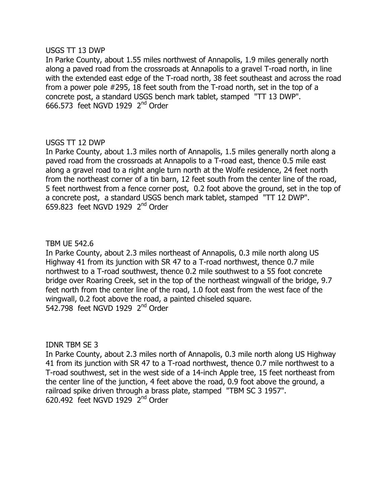### $USGS$  TT 13 DWP

In Parke County, about 1.55 miles northwest of Annapolis, 1.9 miles generally north along a paved road from the crossroads at Annapolis to a gravel T-road north, in line with the extended east edge of the T-road north, 38 feet southeast and across the road from a power pole  $#295$ , 18 feet south from the T-road north, set in the top of a concrete post, a standard USGS bench mark tablet, stamped "TT 13 DWP".  $666.573$  feet NGVD 1929  $2<sup>nd</sup>$  Order

## $USGS$  TT 12 DWP

In Parke County, about 1.3 miles north of Annapolis, 1.5 miles generally north along a paved road from the crossroads at Annapolis to a T-road east, thence 0.5 mile east along a gravel road to a right angle turn north at the Wolfe residence, 24 feet north from the northeast corner of a tin barn, 12 feet south from the center line of the road, 5 feet northwest from a fence corner post, 0.2 foot above the ground, set in the top of a concrete post, a standard USGS bench mark tablet, stamped "TT 12 DWP". 659.823 feet NGVD 1929  $2<sup>nd</sup>$  Order

## **TBM UE 542.6**

In Parke County, about 2.3 miles northeast of Annapolis, 0.3 mile north along US Highway 41 from its junction with SR 47 to a T-road northwest, thence 0.7 mile northwest to a T-road southwest, thence 0.2 mile southwest to a 55 foot concrete bridge over Roaring Creek, set in the top of the northeast wingwall of the bridge, 9.7 feet north from the center line of the road, 1.0 foot east from the west face of the wingwall, 0.2 foot above the road, a painted chiseled square. 542.798 feet NGVD 1929  $2<sup>nd</sup>$  Order

**IDNR TBM SE 3** 

In Parke County, about 2.3 miles north of Annapolis, 0.3 mile north along US Highway 41 from its junction with SR 47 to a T-road northwest, thence 0.7 mile northwest to a T-road southwest, set in the west side of a 14-inch Apple tree, 15 feet northeast from the center line of the junction, 4 feet above the road, 0.9 foot above the ground, a railroad spike driven through a brass plate, stamped "TBM SC 3 1957".  $620.492$  feet NGVD 1929  $2<sup>nd</sup>$  Order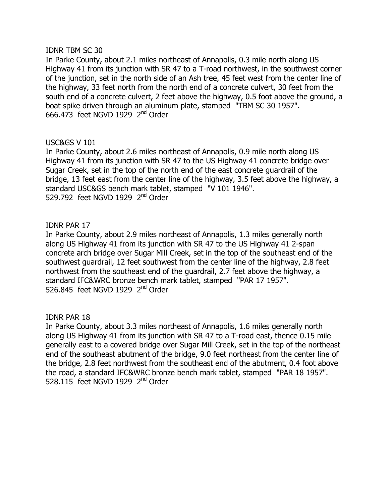### **IDNR TBM SC 30**

In Parke County, about 2.1 miles northeast of Annapolis, 0.3 mile north along US Highway 41 from its junction with SR 47 to a T-road northwest, in the southwest corner of the junction, set in the north side of an Ash tree, 45 feet west from the center line of the highway, 33 feet north from the north end of a concrete culvert, 30 feet from the south end of a concrete culvert, 2 feet above the highway, 0.5 foot above the ground, a boat spike driven through an aluminum plate, stamped "TBM SC 30 1957".  $666.473$  feet NGVD 1929  $2<sup>nd</sup>$  Order

## $USC&GSV$  101

In Parke County, about 2.6 miles northeast of Annapolis, 0.9 mile north along US Highway 41 from its junction with SR 47 to the US Highway 41 concrete bridge over Sugar Creek, set in the top of the north end of the east concrete guardrail of the bridge, 13 feet east from the center line of the highway, 3.5 feet above the highway, a standard USC&GS bench mark tablet, stamped "V 101 1946". 529.792 feet NGVD 1929  $2<sup>nd</sup>$  Order

## IDNR PAR 17

In Parke County, about 2.9 miles northeast of Annapolis, 1.3 miles generally north along US Highway 41 from its junction with SR 47 to the US Highway 41 2-span concrete arch bridge over Sugar Mill Creek, set in the top of the southeast end of the southwest quardrail, 12 feet southwest from the center line of the highway, 2.8 feet northwest from the southeast end of the guardrail, 2.7 feet above the highway, a standard IFC&WRC bronze bench mark tablet, stamped "PAR 17 1957". 526.845 feet NGVD 1929  $2<sup>nd</sup>$  Order

## **IDNR PAR 18**

In Parke County, about 3.3 miles northeast of Annapolis, 1.6 miles generally north along US Highway 41 from its junction with SR 47 to a T-road east, thence  $0.15$  mile generally east to a covered bridge over Sugar Mill Creek, set in the top of the northeast end of the southeast abutment of the bridge, 9.0 feet northeast from the center line of the bridge, 2.8 feet northwest from the southeast end of the abutment, 0.4 foot above the road, a standard IFC&WRC bronze bench mark tablet, stamped "PAR 18 1957". 528.115 feet NGVD 1929  $2<sup>nd</sup>$  Order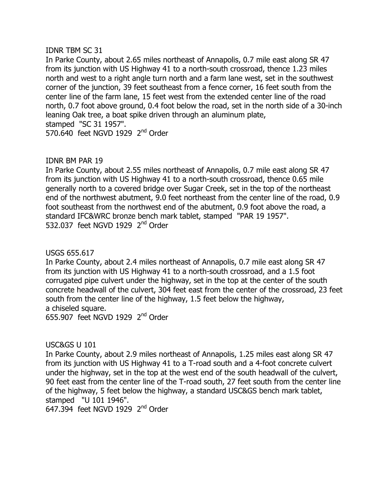### **IDNR TBM SC 31**

In Parke County, about 2.65 miles northeast of Annapolis, 0.7 mile east along SR 47 from its junction with US Highway 41 to a north-south crossroad, thence 1.23 miles north and west to a right angle turn north and a farm lane west, set in the southwest corner of the junction, 39 feet southeast from a fence corner, 16 feet south from the center line of the farm lane, 15 feet west from the extended center line of the road north, 0.7 foot above ground, 0.4 foot below the road, set in the north side of a 30-inch leaning Oak tree, a boat spike driven through an aluminum plate, stamped "SC 31 1957". 570.640 feet NGVD 1929  $2<sup>nd</sup>$  Order

## IDNR BM PAR 19

In Parke County, about 2.55 miles northeast of Annapolis, 0.7 mile east along SR 47 from its junction with US Highway 41 to a north-south crossroad, thence 0.65 mile generally north to a covered bridge over Sugar Creek, set in the top of the northeast end of the northwest abutment, 9.0 feet northeast from the center line of the road, 0.9 foot southeast from the northwest end of the abutment, 0.9 foot above the road, a standard IFC&WRC bronze bench mark tablet, stamped "PAR 19 1957". 532.037 feet NGVD 1929 2<sup>nd</sup> Order

## USGS 655.617

In Parke County, about 2.4 miles northeast of Annapolis, 0.7 mile east along SR 47 from its junction with US Highway 41 to a north-south crossroad, and a 1.5 foot corrugated pipe culvert under the highway, set in the top at the center of the south concrete headwall of the culvert, 304 feet east from the center of the crossroad, 23 feet south from the center line of the highway, 1.5 feet below the highway, a chiseled square.

655.907 feet NGVD 1929  $2<sup>nd</sup>$  Order

# USC&GS U 101

In Parke County, about 2.9 miles northeast of Annapolis, 1.25 miles east along SR 47 from its junction with US Highway 41 to a T-road south and a 4-foot concrete culvert under the highway, set in the top at the west end of the south headwall of the culvert, 90 feet east from the center line of the T-road south, 27 feet south from the center line of the highway, 5 feet below the highway, a standard USC&GS bench mark tablet, stamped "U 101 1946".

647.394 feet NGVD 1929  $2<sup>nd</sup>$  Order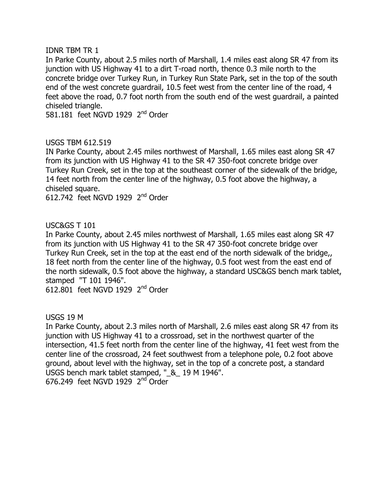### **IDNR TBM TR 1**

In Parke County, about 2.5 miles north of Marshall, 1.4 miles east along SR 47 from its junction with US Highway 41 to a dirt T-road north, thence 0.3 mile north to the concrete bridge over Turkey Run, in Turkey Run State Park, set in the top of the south end of the west concrete quardrail, 10.5 feet west from the center line of the road, 4 feet above the road, 0.7 foot north from the south end of the west guardrail, a painted chiseled triangle.

581.181 feet NGVD 1929  $2<sup>nd</sup>$  Order

# USGS TBM 612.519

IN Parke County, about 2.45 miles northwest of Marshall, 1.65 miles east along SR 47 from its junction with US Highway 41 to the SR 47 350-foot concrete bridge over Turkey Run Creek, set in the top at the southeast corner of the sidewalk of the bridge, 14 feet north from the center line of the highway, 0.5 foot above the highway, a chiseled square.

612.742 feet NGVD 1929  $2<sup>nd</sup>$  Order

# USC&GS T 101

In Parke County, about 2.45 miles northwest of Marshall, 1.65 miles east along SR 47 from its junction with US Highway 41 to the SR 47 350-foot concrete bridge over Turkey Run Creek, set in the top at the east end of the north sidewalk of the bridge,, 18 feet north from the center line of the highway, 0.5 foot west from the east end of the north sidewalk, 0.5 foot above the highway, a standard USC&GS bench mark tablet, stamped "T 101 1946".

612.801 feet NGVD 1929  $2<sup>nd</sup>$  Order

**USGS 19 M** 

In Parke County, about 2.3 miles north of Marshall, 2.6 miles east along SR 47 from its junction with US Highway 41 to a crossroad, set in the northwest quarter of the intersection, 41.5 feet north from the center line of the highway, 41 feet west from the center line of the crossroad, 24 feet southwest from a telephone pole, 0.2 foot above ground, about level with the highway, set in the top of a concrete post, a standard USGS bench mark tablet stamped, " $\&$  19 M 1946". 676.249 feet NGVD 1929  $2<sup>nd</sup>$  Order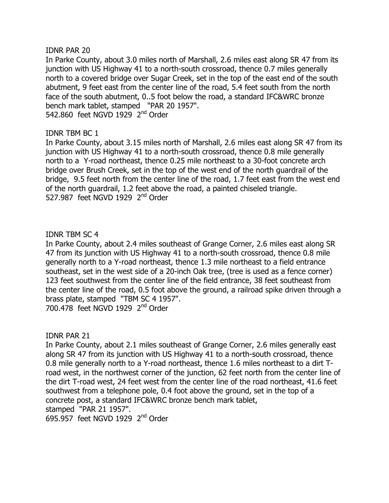### **IDNR PAR 20**

In Parke County, about 3.0 miles north of Marshall, 2.6 miles east along SR 47 from its junction with US Highway 41 to a north-south crossroad, thence 0.7 miles generally north to a covered bridge over Sugar Creek, set in the top of the east end of the south abutment, 9 feet east from the center line of the road, 5.4 feet south from the north face of the south abutment, 0..5 foot below the road, a standard IFC&WRC bronze bench mark tablet, stamped "PAR 20 1957". 542.860 feet NGVD 1929  $2<sup>nd</sup>$  Order

## IDNR TBM BC 1

In Parke County, about 3.15 miles north of Marshall, 2.6 miles east along SR 47 from its junction with US Highway 41 to a north-south crossroad, thence 0.8 mile generally north to a Y-road northeast, thence 0.25 mile northeast to a 30-foot concrete arch bridge over Brush Creek, set in the top of the west end of the north guardrail of the bridge, 9.5 feet north from the center line of the road, 1.7 feet east from the west end of the north quardrail, 1.2 feet above the road, a painted chiseled triangle. 527.987 feet NGVD 1929 2<sup>nd</sup> Order

## **IDNR TBM SC 4**

In Parke County, about 2.4 miles southeast of Grange Corner, 2.6 miles east along SR 47 from its junction with US Highway 41 to a north-south crossroad, thence 0.8 mile generally north to a Y-road northeast, thence 1.3 mile northeast to a field entrance southeast, set in the west side of a 20-inch Oak tree, (tree is used as a fence corner) 123 feet southwest from the center line of the field entrance, 38 feet southeast from the center line of the road, 0.5 foot above the ground, a railroad spike driven through a brass plate, stamped "TBM SC 4 1957".  $700.478$  feet NGVD 1929  $2<sup>nd</sup>$  Order

## IDNR PAR 21

In Parke County, about 2.1 miles southeast of Grange Corner, 2.6 miles generally east along SR 47 from its junction with US Highway 41 to a north-south crossroad, thence 0.8 mile generally north to a Y-road northeast, thence 1.6 miles northeast to a dirt Troad west, in the northwest corner of the junction, 62 feet north from the center line of the dirt T-road west, 24 feet west from the center line of the road northeast, 41.6 feet southwest from a telephone pole, 0.4 foot above the ground, set in the top of a concrete post, a standard IFC&WRC bronze bench mark tablet, stamped "PAR 21 1957".

695.957 feet NGVD 1929  $2<sup>nd</sup>$  Order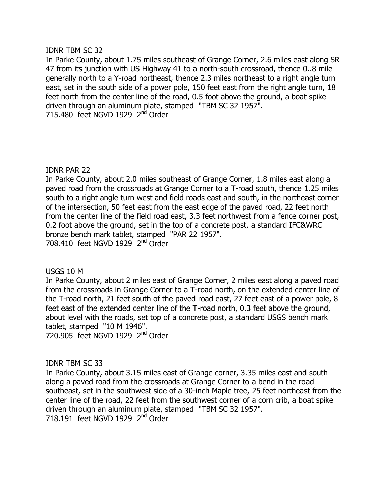### **IDNR TBM SC 32**

In Parke County, about 1.75 miles southeast of Grange Corner, 2.6 miles east along SR 47 from its junction with US Highway 41 to a north-south crossroad, thence 0..8 mile generally north to a Y-road northeast, thence 2.3 miles northeast to a right angle turn east, set in the south side of a power pole, 150 feet east from the right angle turn, 18 feet north from the center line of the road, 0.5 foot above the ground, a boat spike driven through an aluminum plate, stamped "TBM SC 32 1957". 715.480 feet NGVD 1929  $2<sup>nd</sup>$  Order

## **IDNR PAR 22**

In Parke County, about 2.0 miles southeast of Grange Corner, 1.8 miles east along a paved road from the crossroads at Grange Corner to a T-road south, thence 1.25 miles south to a right angle turn west and field roads east and south, in the northeast corner of the intersection, 50 feet east from the east edge of the paved road, 22 feet north from the center line of the field road east, 3.3 feet northwest from a fence corner post, 0.2 foot above the ground, set in the top of a concrete post, a standard IFC&WRC bronze bench mark tablet, stamped "PAR 22 1957". 708.410 feet NGVD 1929  $2<sup>nd</sup>$  Order

**USGS 10 M** 

In Parke County, about 2 miles east of Grange Corner, 2 miles east along a paved road from the crossroads in Grange Corner to a T-road north, on the extended center line of the T-road north, 21 feet south of the paved road east, 27 feet east of a power pole, 8 feet east of the extended center line of the T-road north, 0.3 feet above the ground, about level with the roads, set top of a concrete post, a standard USGS bench mark tablet, stamped  $"10 M 1946"$ . 720.905 feet NGVD 1929  $2<sup>nd</sup>$  Order

## **IDNR TBM SC 33**

In Parke County, about 3.15 miles east of Grange corner, 3.35 miles east and south along a paved road from the crossroads at Grange Corner to a bend in the road southeast, set in the southwest side of a 30-inch Maple tree, 25 feet northeast from the center line of the road, 22 feet from the southwest corner of a corn crib, a boat spike driven through an aluminum plate, stamped "TBM SC 32 1957". 718.191 feet NGVD 1929  $2<sup>nd</sup>$  Order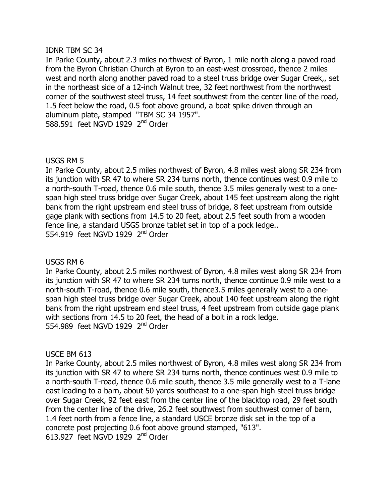### **IDNR TBM SC 34**

In Parke County, about 2.3 miles northwest of Byron, 1 mile north along a paved road from the Byron Christian Church at Byron to an east-west crossroad, thence 2 miles west and north along another paved road to a steel truss bridge over Sugar Creek,, set in the northeast side of a 12-inch Walnut tree, 32 feet northwest from the northwest corner of the southwest steel truss, 14 feet southwest from the center line of the road, 1.5 feet below the road, 0.5 foot above ground, a boat spike driven through an aluminum plate, stamped "TBM SC 34 1957". 588.591 feet NGVD 1929  $2<sup>nd</sup>$  Order

## USGS RM 5

In Parke County, about 2.5 miles northwest of Byron, 4.8 miles west along SR 234 from its junction with SR 47 to where SR 234 turns north, thence continues west 0.9 mile to a north-south T-road, thence 0.6 mile south, thence 3.5 miles generally west to a onespan high steel truss bridge over Sugar Creek, about 145 feet upstream along the right bank from the right upstream end steel truss of bridge, 8 feet upstream from outside gage plank with sections from 14.5 to 20 feet, about 2.5 feet south from a wooden fence line, a standard USGS bronze tablet set in top of a pock ledge... 554.919 feet NGVD 1929  $2<sup>nd</sup>$  Order

## USGS RM 6

In Parke County, about 2.5 miles northwest of Byron, 4.8 miles west along SR 234 from its junction with SR 47 to where SR 234 turns north, thence continue 0.9 mile west to a north-south T-road, thence 0.6 mile south, thence 3.5 miles generally west to a onespan high steel truss bridge over Sugar Creek, about 140 feet upstream along the right bank from the right upstream end steel truss, 4 feet upstream from outside gage plank with sections from 14.5 to 20 feet, the head of a bolt in a rock ledge. 554,989 feet NGVD 1929  $2<sup>nd</sup>$  Order

## **USCE BM 613**

In Parke County, about 2.5 miles northwest of Byron, 4.8 miles west along SR 234 from its junction with SR 47 to where SR 234 turns north, thence continues west 0.9 mile to a north-south T-road, thence 0.6 mile south, thence 3.5 mile generally west to a T-lane east leading to a barn, about 50 yards southeast to a one-span high steel truss bridge over Sugar Creek, 92 feet east from the center line of the blacktop road, 29 feet south from the center line of the drive, 26.2 feet southwest from southwest corner of barn, 1.4 feet north from a fence line, a standard USCE bronze disk set in the top of a concrete post projecting 0.6 foot above ground stamped, "613". 613.927 feet NGVD 1929  $2<sup>nd</sup>$  Order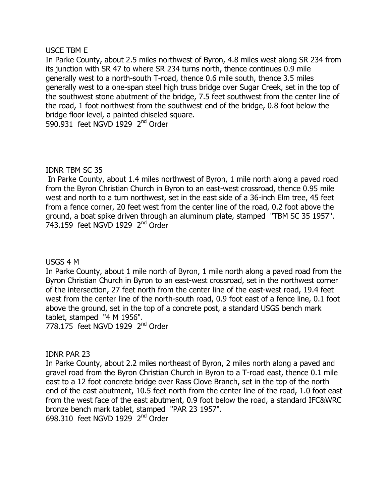### USCE TBM E

In Parke County, about 2.5 miles northwest of Byron, 4.8 miles west along SR 234 from its junction with SR 47 to where SR 234 turns north, thence continues 0.9 mile generally west to a north-south T-road, thence 0.6 mile south, thence 3.5 miles generally west to a one-span steel high truss bridge over Sugar Creek, set in the top of the southwest stone abutment of the bridge, 7.5 feet southwest from the center line of the road, 1 foot northwest from the southwest end of the bridge, 0.8 foot below the bridge floor level, a painted chiseled square. 590.931 feet NGVD 1929  $2<sup>nd</sup>$  Order

## **IDNR TBM SC 35**

In Parke County, about 1.4 miles northwest of Byron, 1 mile north along a paved road from the Byron Christian Church in Byron to an east-west crossroad, thence 0.95 mile west and north to a turn northwest, set in the east side of a 36-inch Elm tree, 45 feet from a fence corner, 20 feet west from the center line of the road, 0.2 foot above the ground, a boat spike driven through an aluminum plate, stamped "TBM SC 35 1957". 743.159 feet NGVD 1929 2<sup>nd</sup> Order

## **USGS 4 M**

In Parke County, about 1 mile north of Byron, 1 mile north along a paved road from the Byron Christian Church in Byron to an east-west crossroad, set in the northwest corner of the intersection, 27 feet north from the center line of the east-west road, 19.4 feet west from the center line of the north-south road, 0.9 foot east of a fence line, 0.1 foot above the ground, set in the top of a concrete post, a standard USGS bench mark tablet, stamped "4 M 1956".

778.175 feet NGVD 1929  $2<sup>nd</sup>$  Order

## **IDNR PAR 23**

In Parke County, about 2.2 miles northeast of Byron, 2 miles north along a paved and gravel road from the Byron Christian Church in Byron to a T-road east, thence 0.1 mile east to a 12 foot concrete bridge over Rass Clove Branch, set in the top of the north end of the east abutment, 10.5 feet north from the center line of the road, 1.0 foot east from the west face of the east abutment, 0.9 foot below the road, a standard IFC&WRC bronze bench mark tablet, stamped "PAR 23 1957". 698.310 feet NGVD 1929  $2<sup>nd</sup>$  Order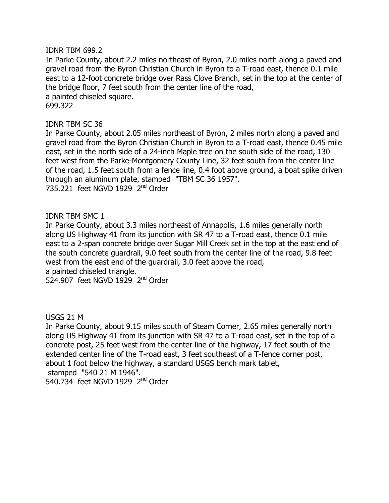### **IDNR TBM 699.2**

In Parke County, about 2.2 miles northeast of Byron, 2.0 miles north along a paved and gravel road from the Byron Christian Church in Byron to a T-road east, thence 0.1 mile east to a 12-foot concrete bridge over Rass Clove Branch, set in the top at the center of the bridge floor, 7 feet south from the center line of the road, a painted chiseled square. 699.322

**IDNR TBM SC 36** 

In Parke County, about 2.05 miles northeast of Byron, 2 miles north along a paved and gravel road from the Byron Christian Church in Byron to a T-road east, thence 0.45 mile east, set in the north side of a 24-inch Maple tree on the south side of the road, 130 feet west from the Parke-Montgomery County Line, 32 feet south from the center line of the road, 1.5 feet south from a fence line, 0.4 foot above ground, a boat spike driven through an aluminum plate, stamped "TBM SC 36 1957". 735.221 feet NGVD 1929  $2<sup>nd</sup>$  Order

### **IDNR TBM SMC 1**

In Parke County, about 3.3 miles northeast of Annapolis, 1.6 miles generally north along US Highway 41 from its junction with SR 47 to a T-road east, thence 0.1 mile east to a 2-span concrete bridge over Sugar Mill Creek set in the top at the east end of the south concrete guardrail, 9.0 feet south from the center line of the road, 9.8 feet west from the east end of the quardrail, 3.0 feet above the road, a painted chiseled triangle.

524.907 feet NGVD  $19\overline{2}9$  2<sup>nd</sup> Order

**USGS 21 M** 

In Parke County, about 9.15 miles south of Steam Corner, 2.65 miles generally north along US Highway 41 from its junction with SR 47 to a T-road east, set in the top of a concrete post, 25 feet west from the center line of the highway, 17 feet south of the extended center line of the T-road east, 3 feet southeast of a T-fence corner post, about 1 foot below the highway, a standard USGS bench mark tablet, stamped "540 21 M 1946". 540.734 feet NGVD 1929  $2<sup>nd</sup>$  Order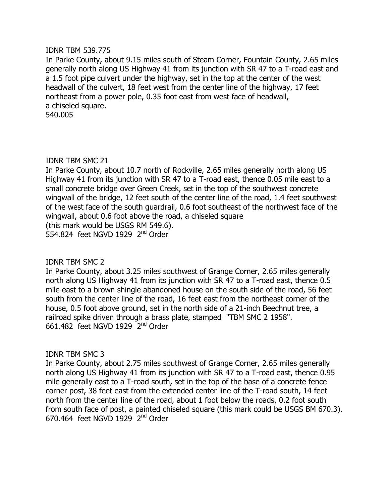#### **IDNR TBM 539.775**

In Parke County, about 9.15 miles south of Steam Corner, Fountain County, 2.65 miles generally north along US Highway 41 from its junction with SR 47 to a T-road east and a 1.5 foot pipe culvert under the highway, set in the top at the center of the west headwall of the culvert, 18 feet west from the center line of the highway, 17 feet northeast from a power pole, 0.35 foot east from west face of headwall, a chiseled square. 540.005

### IDNR TBM SMC 21

In Parke County, about 10.7 north of Rockville, 2.65 miles generally north along US Highway 41 from its junction with SR 47 to a T-road east, thence 0.05 mile east to a small concrete bridge over Green Creek, set in the top of the southwest concrete wingwall of the bridge, 12 feet south of the center line of the road, 1.4 feet southwest of the west face of the south quardrail, 0.6 foot southeast of the northwest face of the wingwall, about 0.6 foot above the road, a chiseled square (this mark would be USGS RM 549.6). 554.824 feet NGVD 1929  $2<sup>nd</sup>$  Order

## **IDNR TBM SMC 2**

In Parke County, about 3.25 miles southwest of Grange Corner, 2.65 miles generally north along US Highway 41 from its junction with SR 47 to a T-road east, thence  $0.5$ mile east to a brown shingle abandoned house on the south side of the road, 56 feet south from the center line of the road, 16 feet east from the northeast corner of the house, 0.5 foot above ground, set in the north side of a 21-inch Beechnut tree, a railroad spike driven through a brass plate, stamped "TBM SMC 2 1958".  $661.482$  feet NGVD 1929  $2<sup>nd</sup>$  Order

## **IDNR TBM SMC 3**

In Parke County, about 2.75 miles southwest of Grange Corner, 2.65 miles generally north along US Highway 41 from its junction with SR 47 to a T-road east, thence 0.95 mile generally east to a T-road south, set in the top of the base of a concrete fence corner post, 38 feet east from the extended center line of the T-road south, 14 feet north from the center line of the road, about 1 foot below the roads, 0.2 foot south from south face of post, a painted chiseled square (this mark could be USGS BM 670.3).  $670.464$  feet NGVD 1929  $2<sup>nd</sup>$  Order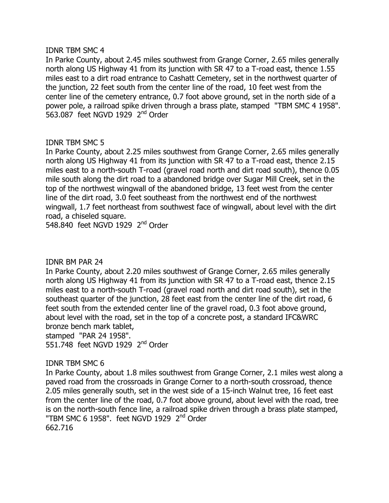### **IDNR TBM SMC 4**

In Parke County, about 2.45 miles southwest from Grange Corner, 2.65 miles generally north along US Highway 41 from its junction with SR 47 to a T-road east, thence 1.55 miles east to a dirt road entrance to Cashatt Cemetery, set in the northwest quarter of the junction, 22 feet south from the center line of the road, 10 feet west from the center line of the cemetery entrance, 0.7 foot above ground, set in the north side of a power pole, a railroad spike driven through a brass plate, stamped "TBM SMC 4 1958". 563.087 feet NGVD 1929  $2<sup>nd</sup>$  Order

# **IDNR TBM SMC 5**

In Parke County, about 2.25 miles southwest from Grange Corner, 2.65 miles generally north along US Highway 41 from its junction with SR 47 to a T-road east, thence 2.15 miles east to a north-south T-road (gravel road north and dirt road south), thence 0.05 mile south along the dirt road to a abandoned bridge over Sugar Mill Creek, set in the top of the northwest wingwall of the abandoned bridge, 13 feet west from the center line of the dirt road, 3.0 feet southeast from the northwest end of the northwest wingwall, 1.7 feet northeast from southwest face of wingwall, about level with the dirt road, a chiseled square.

548.840 feet NGVD 1929  $2<sup>nd</sup>$  Order

## **IDNR BM PAR 24**

In Parke County, about 2.20 miles southwest of Grange Corner, 2.65 miles generally north along US Highway 41 from its junction with SR 47 to a T-road east, thence  $2.15$ miles east to a north-south T-road (gravel road north and dirt road south), set in the southeast quarter of the junction, 28 feet east from the center line of the dirt road, 6 feet south from the extended center line of the gravel road, 0.3 foot above ground, about level with the road, set in the top of a concrete post, a standard IFC&WRC bronze bench mark tablet,

stamped "PAR 24 1958".

551.748 feet NGVD 1929  $2<sup>nd</sup>$  Order

## **IDNR TBM SMC 6**

In Parke County, about 1.8 miles southwest from Grange Corner, 2.1 miles west along a paved road from the crossroads in Grange Corner to a north-south crossroad, thence 2.05 miles generally south, set in the west side of a 15-inch Walnut tree, 16 feet east from the center line of the road, 0.7 foot above ground, about level with the road, tree is on the north-south fence line, a railroad spike driven through a brass plate stamped, "TBM SMC 6 1958". feet NGVD 1929 2<sup>nd</sup> Order 662.716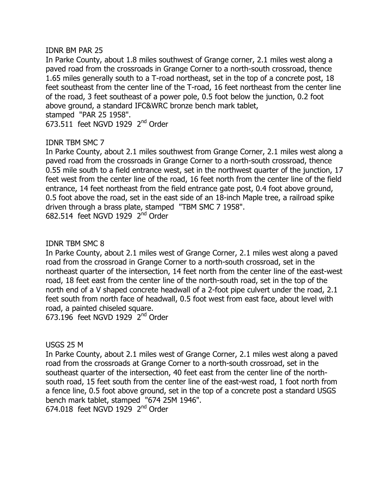## **IDNR BM PAR 25**

In Parke County, about 1.8 miles southwest of Grange corner, 2.1 miles west along a paved road from the crossroads in Grange Corner to a north-south crossroad, thence 1.65 miles generally south to a T-road northeast, set in the top of a concrete post, 18 feet southeast from the center line of the T-road, 16 feet northeast from the center line of the road, 3 feet southeast of a power pole, 0.5 foot below the junction, 0.2 foot above ground, a standard IFC&WRC bronze bench mark tablet, stamped "PAR 25 1958".

 $673.511$  feet NGVD 1929  $2<sup>nd</sup>$  Order

# **IDNR TBM SMC 7**

In Parke County, about 2.1 miles southwest from Grange Corner, 2.1 miles west along a paved road from the crossroads in Grange Corner to a north-south crossroad, thence 0.55 mile south to a field entrance west, set in the northwest quarter of the junction, 17 feet west from the center line of the road, 16 feet north from the center line of the field entrance, 14 feet northeast from the field entrance gate post, 0.4 foot above ground, 0.5 foot above the road, set in the east side of an 18-inch Maple tree, a railroad spike driven through a brass plate, stamped "TBM SMC 7 1958". 682.514 feet NGVD 1929  $2<sup>nd</sup>$  Order

## **IDNR TBM SMC 8**

In Parke County, about 2.1 miles west of Grange Corner, 2.1 miles west along a paved road from the crossroad in Grange Corner to a north-south crossroad, set in the northeast quarter of the intersection, 14 feet north from the center line of the east-west road, 18 feet east from the center line of the north-south road, set in the top of the north end of a V shaped concrete headwall of a 2-foot pipe culvert under the road, 2.1 feet south from north face of headwall, 0.5 foot west from east face, about level with road, a painted chiseled square.

673.196 feet NGVD 1929  $2<sup>nd</sup>$  Order

**USGS 25 M** 

In Parke County, about 2.1 miles west of Grange Corner, 2.1 miles west along a paved road from the crossroads at Grange Corner to a north-south crossroad, set in the southeast quarter of the intersection, 40 feet east from the center line of the northsouth road, 15 feet south from the center line of the east-west road, 1 foot north from a fence line, 0.5 foot above ground, set in the top of a concrete post a standard USGS bench mark tablet, stamped "674 25M 1946".  $674.018$  feet NGVD 1929  $2<sup>nd</sup>$  Order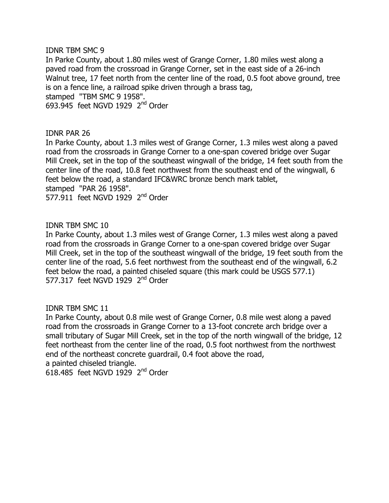### **IDNR TBM SMC 9**

In Parke County, about 1.80 miles west of Grange Corner, 1.80 miles west along a paved road from the crossroad in Grange Corner, set in the east side of a 26-inch Walnut tree, 17 feet north from the center line of the road, 0.5 foot above ground, tree is on a fence line, a railroad spike driven through a brass tag, stamped "TBM SMC 9 1958". 693.945 feet NGVD 1929  $2<sup>nd</sup>$  Order

### IDNR PAR 26

In Parke County, about 1.3 miles west of Grange Corner, 1.3 miles west along a paved road from the crossroads in Grange Corner to a one-span covered bridge over Sugar Mill Creek, set in the top of the southeast wingwall of the bridge, 14 feet south from the center line of the road, 10.8 feet northwest from the southeast end of the wingwall, 6 feet below the road, a standard IFC&WRC bronze bench mark tablet, stamped "PAR 26 1958". 577.911 feet NGVD 1929  $2<sup>nd</sup>$  Order

### IDNR TBM SMC 10

In Parke County, about 1.3 miles west of Grange Corner, 1.3 miles west along a paved road from the crossroads in Grange Corner to a one-span covered bridge over Sugar Mill Creek, set in the top of the southeast wingwall of the bridge, 19 feet south from the center line of the road, 5.6 feet northwest from the southeast end of the wingwall, 6.2 feet below the road, a painted chiseled square (this mark could be USGS 577.1) 577.317 feet NGVD 1929 2<sup>nd</sup> Order

## **IDNR TBM SMC 11**

In Parke County, about 0.8 mile west of Grange Corner, 0.8 mile west along a paved road from the crossroads in Grange Corner to a 13-foot concrete arch bridge over a small tributary of Sugar Mill Creek, set in the top of the north wingwall of the bridge, 12 feet northeast from the center line of the road, 0.5 foot northwest from the northwest end of the northeast concrete quardrail, 0.4 foot above the road, a painted chiseled triangle.

 $618.485$  feet NGVD 1929  $2^{nd}$  Order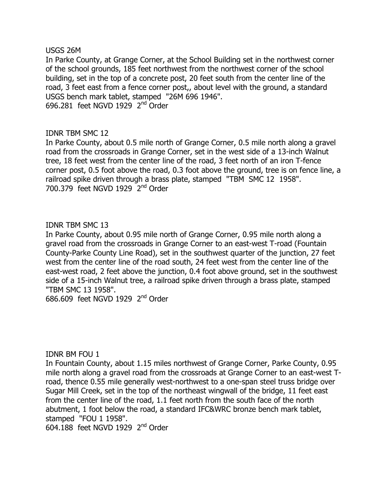#### **USGS 26M**

In Parke County, at Grange Corner, at the School Building set in the northwest corner of the school grounds, 185 feet northwest from the northwest corner of the school building, set in the top of a concrete post, 20 feet south from the center line of the road, 3 feet east from a fence corner post,, about level with the ground, a standard USGS bench mark tablet, stamped "26M 696 1946". 696.281 feet NGVD 1929  $2<sup>nd</sup>$  Order

## IDNR TBM SMC 12

In Parke County, about 0.5 mile north of Grange Corner, 0.5 mile north along a gravel road from the crossroads in Grange Corner, set in the west side of a 13-inch Walnut tree, 18 feet west from the center line of the road, 3 feet north of an iron T-fence corner post, 0.5 foot above the road, 0.3 foot above the ground, tree is on fence line, a railroad spike driven through a brass plate, stamped "TBM SMC 12 1958".  $700.379$  feet NGVD 1929  $2<sup>nd</sup>$  Order

## **IDNR TBM SMC 13**

In Parke County, about 0.95 mile north of Grange Corner, 0.95 mile north along a gravel road from the crossroads in Grange Corner to an east-west T-road (Fountain County-Parke County Line Road), set in the southwest quarter of the junction, 27 feet west from the center line of the road south, 24 feet west from the center line of the east-west road, 2 feet above the junction, 0.4 foot above ground, set in the southwest side of a 15-inch Walnut tree, a railroad spike driven through a brass plate, stamped "TBM SMC 13 1958".

686.609 feet NGVD 1929  $2<sup>nd</sup>$  Order

**IDNR BM FOU 1** 

In Fountain County, about 1.15 miles northwest of Grange Corner, Parke County, 0.95 mile north along a gravel road from the crossroads at Grange Corner to an east-west Troad, thence 0.55 mile generally west-northwest to a one-span steel truss bridge over Sugar Mill Creek, set in the top of the northeast wingwall of the bridge, 11 feet east from the center line of the road, 1.1 feet north from the south face of the north abutment, 1 foot below the road, a standard IFC&WRC bronze bench mark tablet, stamped "FOU 1 1958".

 $604.188$  feet NGVD 1929  $2<sup>nd</sup>$  Order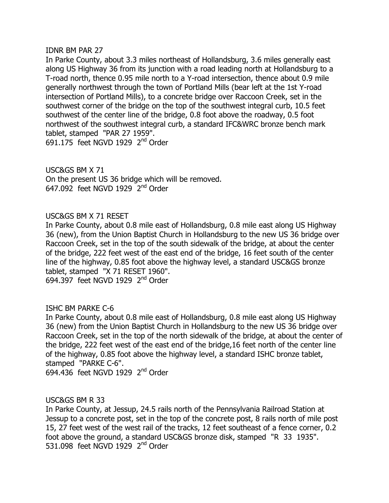#### **IDNR BM PAR 27**

In Parke County, about 3.3 miles northeast of Hollandsburg, 3.6 miles generally east along US Highway 36 from its junction with a road leading north at Hollandsburg to a T-road north, thence 0.95 mile north to a Y-road intersection, thence about 0.9 mile generally northwest through the town of Portland Mills (bear left at the 1st Y-road intersection of Portland Mills), to a concrete bridge over Raccoon Creek, set in the southwest corner of the bridge on the top of the southwest integral curb, 10.5 feet southwest of the center line of the bridge, 0.8 foot above the roadway, 0.5 foot northwest of the southwest integral curb, a standard IFC&WRC bronze bench mark tablet, stamped "PAR 27 1959". 691.175 feet NGVD 1929  $2<sup>nd</sup>$  Order

 $USC&GS$  BM  $X$  71 On the present US 36 bridge which will be removed. 647.092 feet NGVD 1929  $2<sup>nd</sup>$  Order

### USC&GS BM X 71 RESET

In Parke County, about 0.8 mile east of Hollandsburg, 0.8 mile east along US Highway 36 (new), from the Union Baptist Church in Hollandsburg to the new US 36 bridge over Raccoon Creek, set in the top of the south sidewalk of the bridge, at about the center of the bridge, 222 feet west of the east end of the bridge, 16 feet south of the center line of the highway, 0.85 foot above the highway level, a standard USC&GS bronze tablet, stamped "X 71 RESET 1960". 694.397 feet NGVD 1929  $2<sup>nd</sup>$  Order

## ISHC BM PARKE C-6

In Parke County, about 0.8 mile east of Hollandsburg, 0.8 mile east along US Highway 36 (new) from the Union Baptist Church in Hollandsburg to the new US 36 bridge over Raccoon Creek, set in the top of the north sidewalk of the bridge, at about the center of the bridge, 222 feet west of the east end of the bridge, 16 feet north of the center line of the highway, 0.85 foot above the highway level, a standard ISHC bronze tablet, stamped "PARKE C-6". 694.436 feet NGVD 1929  $2<sup>nd</sup>$  Order

#### USC&GS BM R 33

In Parke County, at Jessup, 24.5 rails north of the Pennsylvania Railroad Station at Jessup to a concrete post, set in the top of the concrete post, 8 rails north of mile post 15, 27 feet west of the west rail of the tracks, 12 feet southeast of a fence corner, 0.2 foot above the ground, a standard USC&GS bronze disk, stamped "R 33 1935". 531,098 feet NGVD 1929  $2<sup>nd</sup>$  Order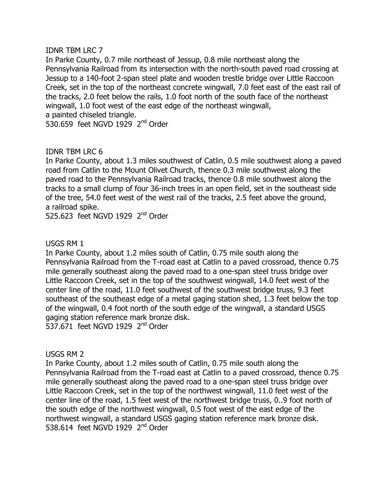## **IDNR TBM LRC 7**

In Parke County, 0.7 mile northeast of Jessup, 0.8 mile northeast along the Pennsylvania Railroad from its intersection with the north-south paved road crossing at Jessup to a 140-foot 2-span steel plate and wooden trestle bridge over Little Raccoon Creek, set in the top of the northeast concrete wingwall, 7.0 feet east of the east rail of the tracks, 2.0 feet below the rails, 1.0 foot north of the south face of the northeast wingwall, 1.0 foot west of the east edge of the northeast wingwall, a painted chiseled triangle.

530.659 feet NGVD 1929  $2<sup>nd</sup>$  Order

# **IDNR TBM LRC 6**

In Parke County, about 1.3 miles southwest of Catlin, 0.5 mile southwest along a paved road from Catlin to the Mount Olivet Church, thence 0.3 mile southwest along the paved road to the Pennsylvania Railroad tracks, thence 0.8 mile southwest along the tracks to a small clump of four 36-inch trees in an open field, set in the southeast side of the tree, 54.0 feet west of the west rail of the tracks, 2.5 feet above the ground, a railroad spike.

525.623 feet NGVD 1929 2<sup>nd</sup> Order

# USGS RM 1

In Parke County, about 1.2 miles south of Catlin, 0.75 mile south along the Pennsylvania Railroad from the T-road east at Catlin to a paved crossroad, thence 0.75 mile generally southeast along the paved road to a one-span steel truss bridge over Little Raccoon Creek, set in the top of the southwest wingwall, 14.0 feet west of the center line of the road, 11.0 feet southwest of the southwest bridge truss, 9.3 feet southeast of the southeast edge of a metal gaging station shed, 1.3 feet below the top of the wingwall, 0.4 foot north of the south edge of the wingwall, a standard USGS gaging station reference mark bronze disk. 537.671 feet NGVD 1929  $2<sup>nd</sup>$  Order

USGS RM 2

In Parke County, about 1.2 miles south of Catlin, 0.75 mile south along the Pennsylvania Railroad from the T-road east at Catlin to a paved crossroad, thence 0.75 mile generally southeast along the paved road to a one-span steel truss bridge over Little Raccoon Creek, set in the top of the northwest wingwall, 11.0 feet west of the center line of the road, 1.5 feet west of the northwest bridge truss, 0..9 foot north of the south edge of the northwest wingwall, 0.5 foot west of the east edge of the northwest wingwall, a standard USGS gaging station reference mark bronze disk. 538.614 feet NGVD 1929  $2<sup>nd</sup>$  Order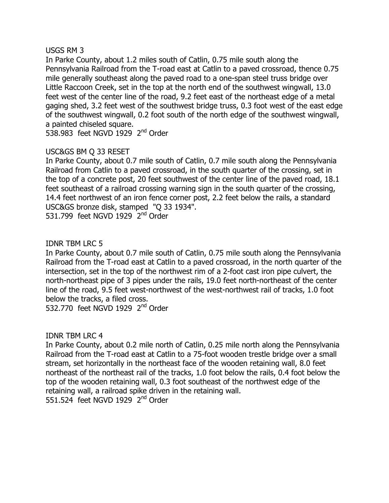## $USGS$  RM  $3$

In Parke County, about 1.2 miles south of Catlin, 0.75 mile south along the Pennsylvania Railroad from the T-road east at Catlin to a paved crossroad, thence 0.75 mile generally southeast along the paved road to a one-span steel truss bridge over Little Raccoon Creek, set in the top at the north end of the southwest wingwall, 13.0 feet west of the center line of the road, 9.2 feet east of the northeast edge of a metal gaging shed, 3.2 feet west of the southwest bridge truss, 0.3 foot west of the east edge of the southwest wingwall, 0.2 foot south of the north edge of the southwest wingwall, a painted chiseled square.

538.983 feet NGVD 1929  $2<sup>nd</sup>$  Order

# USC&GS BM O 33 RESET

In Parke County, about 0.7 mile south of Catlin, 0.7 mile south along the Pennsylvania Railroad from Catlin to a paved crossroad, in the south quarter of the crossing, set in the top of a concrete post, 20 feet southwest of the center line of the paved road, 18.1 feet southeast of a railroad crossing warning sign in the south quarter of the crossing, 14.4 feet northwest of an iron fence corner post, 2.2 feet below the rails, a standard USC&GS bronze disk, stamped "Q 33 1934". 531.799 feet NGVD 1929  $2<sup>nd</sup>$  Order

# **IDNR TBM LRC 5**

In Parke County, about 0.7 mile south of Catlin, 0.75 mile south along the Pennsylvania Railroad from the T-road east at Catlin to a paved crossroad, in the north quarter of the intersection, set in the top of the northwest rim of a 2-foot cast iron pipe culvert, the north-northeast pipe of 3 pipes under the rails, 19.0 feet north-northeast of the center line of the road, 9.5 feet west-northwest of the west-northwest rail of tracks, 1.0 foot below the tracks, a filed cross.

532.770 feet NGVD 1929  $2<sup>nd</sup>$  Order

## **IDNR TBM LRC 4**

In Parke County, about 0.2 mile north of Catlin, 0.25 mile north along the Pennsylvania Railroad from the T-road east at Catlin to a 75-foot wooden trestle bridge over a small stream, set horizontally in the northeast face of the wooden retaining wall, 8.0 feet northeast of the northeast rail of the tracks, 1.0 foot below the rails, 0.4 foot below the top of the wooden retaining wall, 0.3 foot southeast of the northwest edge of the retaining wall, a railroad spike driven in the retaining wall. 551.524 feet NGVD 1929 2<sup>nd</sup> Order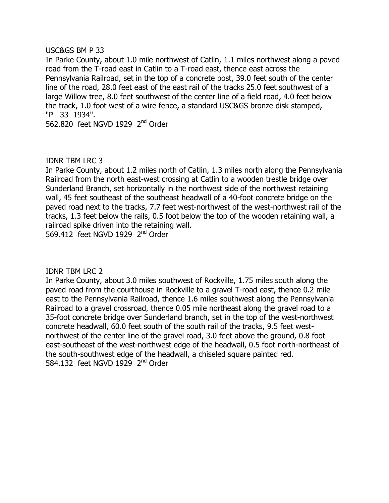### $USCAGS$  BM P 33

In Parke County, about 1.0 mile northwest of Catlin, 1.1 miles northwest along a paved road from the T-road east in Catlin to a T-road east, thence east across the Pennsylvania Railroad, set in the top of a concrete post, 39.0 feet south of the center line of the road, 28.0 feet east of the east rail of the tracks 25.0 feet southwest of a large Willow tree, 8.0 feet southwest of the center line of a field road, 4.0 feet below the track, 1.0 foot west of a wire fence, a standard USC&GS bronze disk stamped, "P 33 1934".

562.820 feet NGVD 1929 2<sup>nd</sup> Order

## IDNR TBM LRC 3

In Parke County, about 1.2 miles north of Catlin, 1.3 miles north along the Pennsylvania Railroad from the north east-west crossing at Catlin to a wooden trestle bridge over Sunderland Branch, set horizontally in the northwest side of the northwest retaining wall, 45 feet southeast of the southeast headwall of a 40-foot concrete bridge on the paved road next to the tracks, 7.7 feet west-northwest of the west-northwest rail of the tracks, 1.3 feet below the rails, 0.5 foot below the top of the wooden retaining wall, a railroad spike driven into the retaining wall.

569.412 feet NGVD 1929  $2<sup>nd</sup>$  Order

**IDNR TBM LRC 2** 

In Parke County, about 3.0 miles southwest of Rockville, 1.75 miles south along the paved road from the courthouse in Rockville to a gravel T-road east, thence 0.2 mile east to the Pennsylvania Railroad, thence 1.6 miles southwest along the Pennsylvania Railroad to a gravel crossroad, thence 0.05 mile northeast along the gravel road to a 35-foot concrete bridge over Sunderland branch, set in the top of the west-northwest concrete headwall, 60.0 feet south of the south rail of the tracks, 9.5 feet westnorthwest of the center line of the gravel road, 3.0 feet above the ground, 0.8 foot east-southeast of the west-northwest edge of the headwall, 0.5 foot north-northeast of the south-southwest edge of the headwall, a chiseled square painted red. 584.132 feet NGVD  $1929$   $2<sup>nd</sup>$  Order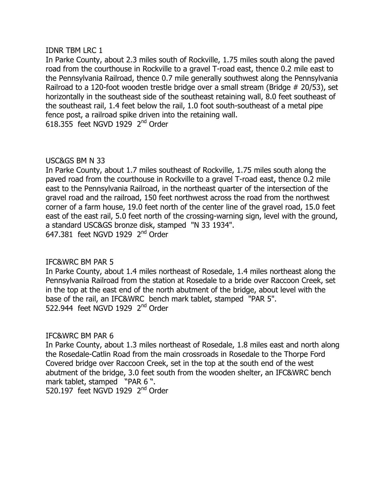### **IDNR TBM LRC 1**

In Parke County, about 2.3 miles south of Rockville, 1.75 miles south along the paved road from the courthouse in Rockville to a gravel T-road east, thence 0.2 mile east to the Pennsylvania Railroad, thence 0.7 mile generally southwest along the Pennsylvania Railroad to a 120-foot wooden trestle bridge over a small stream (Bridge # 20/53), set horizontally in the southeast side of the southeast retaining wall, 8.0 feet southeast of the southeast rail, 1.4 feet below the rail, 1.0 foot south-southeast of a metal pipe fence post, a railroad spike driven into the retaining wall.  $618.355$  feet NGVD 1929  $2<sup>nd</sup>$  Order

## USC&GS BM N 33

In Parke County, about 1.7 miles southeast of Rockville, 1.75 miles south along the paved road from the courthouse in Rockville to a gravel T-road east, thence 0.2 mile east to the Pennsylvania Railroad, in the northeast quarter of the intersection of the gravel road and the railroad, 150 feet northwest across the road from the northwest corner of a farm house, 19.0 feet north of the center line of the gravel road, 15.0 feet east of the east rail, 5.0 feet north of the crossing-warning sign, level with the ground, a standard USC&GS bronze disk, stamped "N 33 1934". 647.381 feet NGVD 1929  $2<sup>nd</sup>$  Order

## IFC&WRC BM PAR 5

In Parke County, about 1.4 miles northeast of Rosedale, 1.4 miles northeast along the Pennsylvania Railroad from the station at Rosedale to a bride over Raccoon Creek, set in the top at the east end of the north abutment of the bridge, about level with the base of the rail, an IFC&WRC bench mark tablet, stamped "PAR 5". 522.944 feet NGVD 1929  $2<sup>nd</sup>$  Order

## IFC&WRC BM PAR 6

In Parke County, about 1.3 miles northeast of Rosedale, 1.8 miles east and north along the Rosedale-Catlin Road from the main crossroads in Rosedale to the Thorpe Ford Covered bridge over Raccoon Creek, set in the top at the south end of the west abutment of the bridge, 3.0 feet south from the wooden shelter, an IFC&WRC bench mark tablet, stamped "PAR 6".

520.197 feet NGVD 1929  $2<sup>nd</sup>$  Order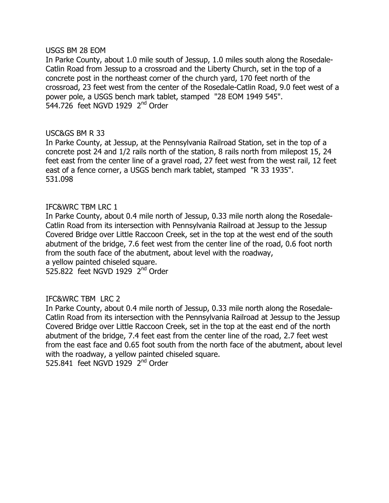#### USGS BM 28 EOM

In Parke County, about 1.0 mile south of Jessup, 1.0 miles south along the Rosedale-Catlin Road from Jessup to a crossroad and the Liberty Church, set in the top of a concrete post in the northeast corner of the church yard, 170 feet north of the crossroad, 23 feet west from the center of the Rosedale-Catlin Road, 9.0 feet west of a power pole, a USGS bench mark tablet, stamped "28 EOM 1949 545".  $544.726$  feet NGVD 1929  $2<sup>nd</sup>$  Order

### USC&GS BM R 33

In Parke County, at Jessup, at the Pennsylvania Railroad Station, set in the top of a concrete post 24 and 1/2 rails north of the station, 8 rails north from milepost 15, 24 feet east from the center line of a gravel road, 27 feet west from the west rail, 12 feet east of a fence corner, a USGS bench mark tablet, stamped "R 33 1935". 531.098

### IFC&WRC TBM LRC 1

In Parke County, about 0.4 mile north of Jessup, 0.33 mile north along the Rosedale-Catlin Road from its intersection with Pennsylvania Railroad at Jessup to the Jessup Covered Bridge over Little Raccoon Creek, set in the top at the west end of the south abutment of the bridge, 7.6 feet west from the center line of the road, 0.6 foot north from the south face of the abutment, about level with the roadway,

a yellow painted chiseled square.

525.822 feet NGVD 1929  $2<sup>nd</sup>$  Order

## IFC&WRC TBM LRC 2

In Parke County, about 0.4 mile north of Jessup, 0.33 mile north along the Rosedale-Catlin Road from its intersection with the Pennsylvania Railroad at Jessup to the Jessup Covered Bridge over Little Raccoon Creek, set in the top at the east end of the north abutment of the bridge, 7.4 feet east from the center line of the road, 2.7 feet west from the east face and 0.65 foot south from the north face of the abutment, about level with the roadway, a yellow painted chiseled square. 525.841 feet NGVD 1929  $2<sup>nd</sup>$  Order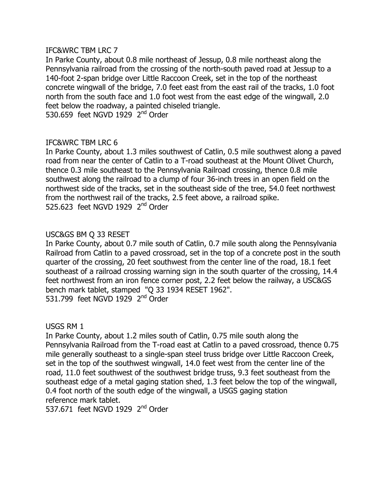In Parke County, about 0.8 mile northeast of Jessup, 0.8 mile northeast along the Pennsylvania railroad from the crossing of the north-south paved road at Jessup to a 140-foot 2-span bridge over Little Raccoon Creek, set in the top of the northeast concrete wingwall of the bridge, 7.0 feet east from the east rail of the tracks, 1.0 foot north from the south face and 1.0 foot west from the east edge of the wingwall, 2.0 feet below the roadway, a painted chiseled triangle. 530.659 feet NGVD 1929  $2<sup>nd</sup>$  Order

# IFC&WRC TBM LRC 6

In Parke County, about 1.3 miles southwest of Catlin, 0.5 mile southwest along a paved road from near the center of Catlin to a T-road southeast at the Mount Olivet Church, thence 0.3 mile southeast to the Pennsylvania Railroad crossing, thence 0.8 mile southwest along the railroad to a clump of four 36-inch trees in an open field on the northwest side of the tracks, set in the southeast side of the tree, 54.0 feet northwest from the northwest rail of the tracks, 2.5 feet above, a railroad spike. 525.623 feet NGVD 1929  $2<sup>nd</sup>$  Order

## USC&GS BM O 33 RESET

In Parke County, about 0.7 mile south of Catlin, 0.7 mile south along the Pennsylvania Railroad from Catlin to a paved crossroad, set in the top of a concrete post in the south quarter of the crossing, 20 feet southwest from the center line of the road, 18.1 feet southeast of a railroad crossing warning sign in the south quarter of the crossing, 14.4 feet northwest from an iron fence corner post, 2.2 feet below the railway, a USC&GS bench mark tablet, stamped "Q 33 1934 RESET 1962". 531.799 feet NGVD 1929  $2<sup>nd</sup>$  Order

## USGS RM 1

In Parke County, about 1.2 miles south of Catlin, 0.75 mile south along the Pennsylvania Railroad from the T-road east at Catlin to a paved crossroad, thence 0.75 mile generally southeast to a single-span steel truss bridge over Little Raccoon Creek, set in the top of the southwest wingwall, 14.0 feet west from the center line of the road, 11.0 feet southwest of the southwest bridge truss, 9.3 feet southeast from the southeast edge of a metal gaging station shed, 1.3 feet below the top of the wingwall, 0.4 foot north of the south edge of the wingwall, a USGS gaging station reference mark tablet.

537.671 feet NGVD 1929  $2<sup>nd</sup>$  Order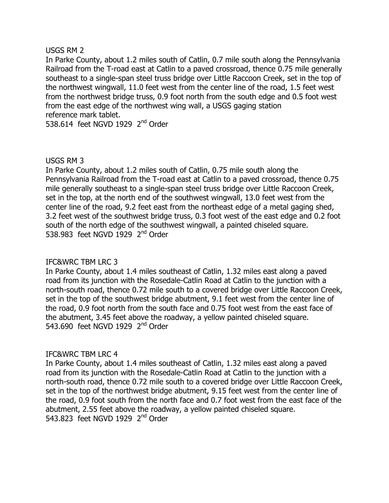### USGS RM 2

In Parke County, about 1.2 miles south of Catlin, 0.7 mile south along the Pennsylvania Railroad from the T-road east at Catlin to a paved crossroad, thence 0.75 mile generally southeast to a single-span steel truss bridge over Little Raccoon Creek, set in the top of the northwest wingwall, 11.0 feet west from the center line of the road, 1.5 feet west from the northwest bridge truss, 0.9 foot north from the south edge and 0.5 foot west from the east edge of the northwest wing wall, a USGS gaging station reference mark tablet.

538.614 feet NGVD 1929  $2<sup>nd</sup>$  Order

## USGS RM 3

In Parke County, about 1.2 miles south of Catlin, 0.75 mile south along the Pennsylvania Railroad from the T-road east at Catlin to a paved crossroad, thence 0.75 mile generally southeast to a single-span steel truss bridge over Little Raccoon Creek, set in the top, at the north end of the southwest wingwall, 13.0 feet west from the center line of the road, 9.2 feet east from the northeast edge of a metal gaging shed, 3.2 feet west of the southwest bridge truss, 0.3 foot west of the east edge and 0.2 foot south of the north edge of the southwest wingwall, a painted chiseled square. 538,983 feet NGVD 1929  $2<sup>nd</sup>$  Order

## IFC&WRC TBM LRC 3

In Parke County, about 1.4 miles southeast of Catlin, 1.32 miles east along a paved road from its junction with the Rosedale-Catlin Road at Catlin to the junction with a north-south road, thence 0.72 mile south to a covered bridge over Little Raccoon Creek, set in the top of the southwest bridge abutment, 9.1 feet west from the center line of the road, 0.9 foot north from the south face and 0.75 foot west from the east face of the abutment, 3.45 feet above the roadway, a yellow painted chiseled square. 543,690 feet NGVD 1929  $2<sup>nd</sup>$  Order

## IFC&WRC TBM LRC 4

In Parke County, about 1.4 miles southeast of Catlin, 1.32 miles east along a paved road from its junction with the Rosedale-Catlin Road at Catlin to the junction with a north-south road, thence 0.72 mile south to a covered bridge over Little Raccoon Creek, set in the top of the northwest bridge abutment, 9.15 feet west from the center line of the road, 0.9 foot south from the north face and 0.7 foot west from the east face of the abutment, 2.55 feet above the roadway, a yellow painted chiseled square. 543.823 feet NGVD 1929  $2<sup>nd</sup>$  Order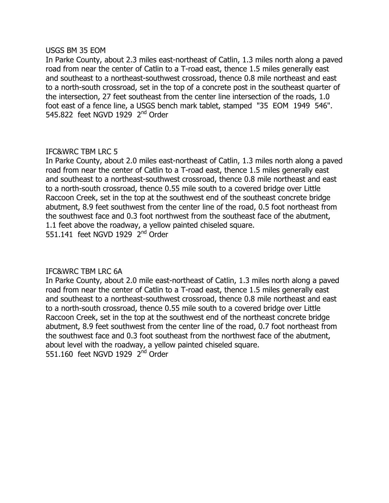### USGS BM 35 EOM

In Parke County, about 2.3 miles east-northeast of Catlin, 1.3 miles north along a paved road from near the center of Catlin to a T-road east, thence 1.5 miles generally east and southeast to a northeast-southwest crossroad, thence 0.8 mile northeast and east to a north-south crossroad, set in the top of a concrete post in the southeast quarter of the intersection, 27 feet southeast from the center line intersection of the roads, 1.0 foot east of a fence line, a USGS bench mark tablet, stamped "35 EOM 1949 546". 545.822 feet NGVD 1929  $2<sup>nd</sup>$  Order

# IFC&WRC TBM LRC 5

In Parke County, about 2.0 miles east-northeast of Catlin, 1.3 miles north along a paved road from near the center of Catlin to a T-road east, thence 1.5 miles generally east and southeast to a northeast-southwest crossroad, thence 0.8 mile northeast and east to a north-south crossroad, thence 0.55 mile south to a covered bridge over Little Raccoon Creek, set in the top at the southwest end of the southeast concrete bridge abutment, 8.9 feet southwest from the center line of the road, 0.5 foot northeast from the southwest face and 0.3 foot northwest from the southeast face of the abutment, 1.1 feet above the roadway, a yellow painted chiseled square. 551.141 feet NGVD 1929  $2<sup>nd</sup>$  Order

# IFC&WRC TBM LRC 6A

In Parke County, about 2.0 mile east-northeast of Catlin, 1.3 miles north along a paved road from near the center of Catlin to a T-road east, thence 1.5 miles generally east and southeast to a northeast-southwest crossroad, thence 0.8 mile northeast and east to a north-south crossroad, thence 0.55 mile south to a covered bridge over Little Raccoon Creek, set in the top at the southwest end of the northeast concrete bridge abutment, 8.9 feet southwest from the center line of the road, 0.7 foot northeast from the southwest face and 0.3 foot southeast from the northwest face of the abutment, about level with the roadway, a yellow painted chiseled square. 551.160 feet NGVD 1929 2<sup>nd</sup> Order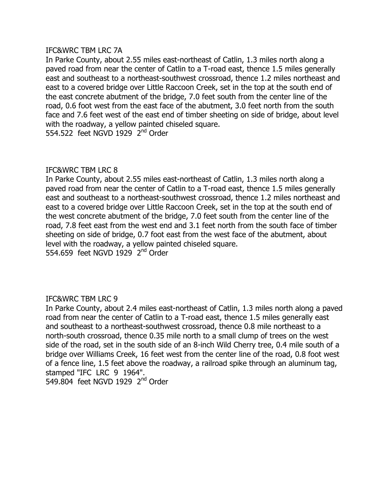In Parke County, about 2.55 miles east-northeast of Catlin, 1.3 miles north along a paved road from near the center of Catlin to a T-road east, thence 1.5 miles generally east and southeast to a northeast-southwest crossroad, thence 1.2 miles northeast and east to a covered bridge over Little Raccoon Creek, set in the top at the south end of the east concrete abutment of the bridge, 7.0 feet south from the center line of the road, 0.6 foot west from the east face of the abutment, 3.0 feet north from the south face and 7.6 feet west of the east end of timber sheeting on side of bridge, about level with the roadway, a yellow painted chiseled square. 554.522 feet NGVD 1929  $2^{nd}$  Order

## IFC&WRC TBM LRC 8

In Parke County, about 2.55 miles east-northeast of Catlin, 1.3 miles north along a paved road from near the center of Catlin to a T-road east, thence 1.5 miles generally east and southeast to a northeast-southwest crossroad, thence 1.2 miles northeast and east to a covered bridge over Little Raccoon Creek, set in the top at the south end of the west concrete abutment of the bridge, 7.0 feet south from the center line of the road, 7.8 feet east from the west end and 3.1 feet north from the south face of timber sheeting on side of bridge, 0.7 foot east from the west face of the abutment, about level with the roadway, a yellow painted chiseled square. 554.659 feet NGVD 1929 2<sup>nd</sup> Order

## IFC&WRC TBM LRC 9

In Parke County, about 2.4 miles east-northeast of Catlin, 1.3 miles north along a paved road from near the center of Catlin to a T-road east, thence 1.5 miles generally east and southeast to a northeast-southwest crossroad, thence 0.8 mile northeast to a north-south crossroad, thence 0.35 mile north to a small clump of trees on the west side of the road, set in the south side of an 8-inch Wild Cherry tree, 0.4 mile south of a bridge over Williams Creek, 16 feet west from the center line of the road, 0.8 foot west of a fence line, 1.5 feet above the roadway, a railroad spike through an aluminum tag, stamped "IFC LRC 9 1964". 549.804 feet NGVD 1929  $2<sup>nd</sup>$  Order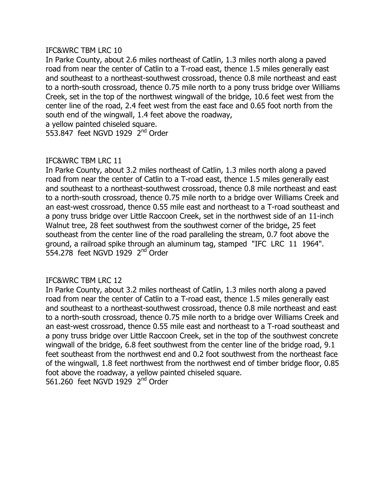In Parke County, about 2.6 miles northeast of Catlin, 1.3 miles north along a paved road from near the center of Catlin to a T-road east, thence 1.5 miles generally east and southeast to a northeast-southwest crossroad, thence 0.8 mile northeast and east to a north-south crossroad, thence 0.75 mile north to a pony truss bridge over Williams Creek, set in the top of the northwest wingwall of the bridge, 10.6 feet west from the center line of the road, 2.4 feet west from the east face and 0.65 foot north from the south end of the wingwall, 1.4 feet above the roadway, a yellow painted chiseled square.

553.847 feet NGVD 1929  $2<sup>nd</sup>$  Order

# IFC&WRC TBM LRC 11

In Parke County, about 3.2 miles northeast of Catlin, 1.3 miles north along a paved road from near the center of Catlin to a T-road east, thence 1.5 miles generally east and southeast to a northeast-southwest crossroad, thence 0.8 mile northeast and east to a north-south crossroad, thence 0.75 mile north to a bridge over Williams Creek and an east-west crossroad, thence 0.55 mile east and northeast to a T-road southeast and a pony truss bridge over Little Raccoon Creek, set in the northwest side of an 11-inch Walnut tree, 28 feet southwest from the southwest corner of the bridge, 25 feet southeast from the center line of the road paralleling the stream, 0.7 foot above the ground, a railroad spike through an aluminum tag, stamped "IFC LRC 11 1964". 554.278 feet NGVD 1929  $2<sup>nd</sup>$  Order

## IFC&WRC TBM LRC 12

In Parke County, about 3.2 miles northeast of Catlin, 1.3 miles north along a paved road from near the center of Catlin to a T-road east, thence 1.5 miles generally east and southeast to a northeast-southwest crossroad, thence 0.8 mile northeast and east to a north-south crossroad, thence 0.75 mile north to a bridge over Williams Creek and an east-west crossroad, thence 0.55 mile east and northeast to a T-road southeast and a pony truss bridge over Little Raccoon Creek, set in the top of the southwest concrete wingwall of the bridge, 6.8 feet southwest from the center line of the bridge road, 9.1 feet southeast from the northwest end and 0.2 foot southwest from the northeast face of the wingwall, 1.8 feet northwest from the northwest end of timber bridge floor, 0.85 foot above the roadway, a yellow painted chiseled square. 561.260 feet NGVD 1929 2<sup>nd</sup> Order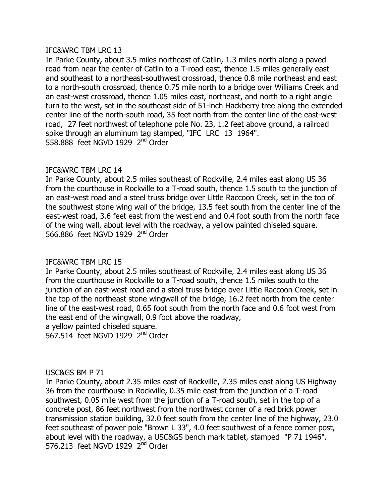In Parke County, about 3.5 miles northeast of Catlin, 1.3 miles north along a paved road from near the center of Catlin to a T-road east, thence 1.5 miles generally east and southeast to a northeast-southwest crossroad, thence 0.8 mile northeast and east to a north-south crossroad, thence 0.75 mile north to a bridge over Williams Creek and an east-west crossroad, thence 1.05 miles east, northeast, and north to a right angle turn to the west, set in the southeast side of 51-inch Hackberry tree along the extended center line of the north-south road, 35 feet north from the center line of the east-west road, 27 feet northwest of telephone pole No. 23, 1.2 feet above ground, a railroad spike through an aluminum tag stamped, "IFC LRC 13 1964". 558,888 feet NGVD 1929  $2<sup>nd</sup>$  Order

## IFC&WRC TBM LRC 14

In Parke County, about 2.5 miles southeast of Rockville, 2.4 miles east along US 36 from the courthouse in Rockville to a T-road south, thence 1.5 south to the junction of an east-west road and a steel truss bridge over Little Raccoon Creek, set in the top of the southwest stone wing wall of the bridge, 13.5 feet south from the center line of the east-west road, 3.6 feet east from the west end and 0.4 foot south from the north face of the wing wall, about level with the roadway, a yellow painted chiseled square. 566,886 feet NGVD 1929  $2<sup>nd</sup>$  Order

## IFC&WRC TBM LRC 15

In Parke County, about 2.5 miles southeast of Rockville, 2.4 miles east along US 36 from the courthouse in Rockville to a T-road south, thence 1.5 miles south to the junction of an east-west road and a steel truss bridge over Little Raccoon Creek, set in the top of the northeast stone wingwall of the bridge, 16.2 feet north from the center line of the east-west road, 0.65 foot south from the north face and 0.6 foot west from the east end of the wingwall, 0.9 foot above the roadway,

a yellow painted chiseled square.

567.514 feet NGVD 1929  $2<sup>nd</sup>$  Order

## USC&GS BM P 71

In Parke County, about 2.35 miles east of Rockville, 2.35 miles east along US Highway 36 from the courthouse in Rockville, 0.35 mile east from the junction of a T-road southwest, 0.05 mile west from the junction of a T-road south, set in the top of a concrete post, 86 feet northwest from the northwest corner of a red brick power transmission station building, 32.0 feet south from the center line of the highway, 23.0 feet southeast of power pole "Brown L 33", 4.0 feet southwest of a fence corner post, about level with the roadway, a USC&GS bench mark tablet, stamped "P 71 1946". 576.213 feet NGVD 1929  $2<sup>nd</sup>$  Order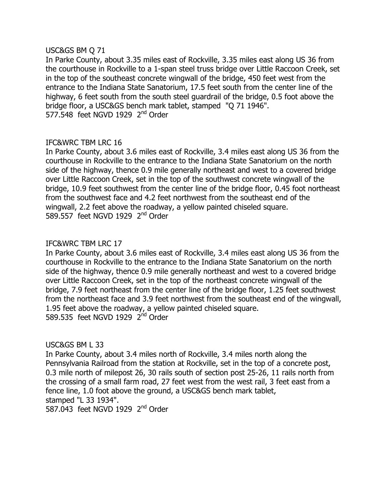### USC&GS BM Q 71

In Parke County, about 3.35 miles east of Rockville, 3.35 miles east along US 36 from the courthouse in Rockville to a 1-span steel truss bridge over Little Raccoon Creek, set in the top of the southeast concrete wingwall of the bridge, 450 feet west from the entrance to the Indiana State Sanatorium, 17.5 feet south from the center line of the highway, 6 feet south from the south steel guardrail of the bridge, 0.5 foot above the bridge floor, a USC&GS bench mark tablet, stamped "Q 71 1946". 577.548 feet NGVD 1929  $2<sup>nd</sup>$  Order

## IFC&WRC TBM LRC 16

In Parke County, about 3.6 miles east of Rockville, 3.4 miles east along US 36 from the courthouse in Rockville to the entrance to the Indiana State Sanatorium on the north side of the highway, thence 0.9 mile generally northeast and west to a covered bridge over Little Raccoon Creek, set in the top of the southwest concrete wingwall of the bridge, 10.9 feet southwest from the center line of the bridge floor, 0.45 foot northeast from the southwest face and 4.2 feet northwest from the southeast end of the wingwall, 2.2 feet above the roadway, a yellow painted chiseled square. 589.557 feet NGVD 1929  $2<sup>nd</sup>$  Order

## IFC&WRC TBM LRC 17

In Parke County, about 3.6 miles east of Rockville, 3.4 miles east along US 36 from the courthouse in Rockville to the entrance to the Indiana State Sanatorium on the north side of the highway, thence 0.9 mile generally northeast and west to a covered bridge over Little Raccoon Creek, set in the top of the northeast concrete wingwall of the bridge, 7.9 feet northeast from the center line of the bridge floor, 1.25 feet southwest from the northeast face and 3.9 feet northwest from the southeast end of the wingwall, 1.95 feet above the roadway, a yellow painted chiseled square. 589.535 feet NGVD 1929  $2<sup>nd</sup>$  Order

## USC&GS BM L 33

In Parke County, about 3.4 miles north of Rockville, 3.4 miles north along the Pennsylvania Railroad from the station at Rockville, set in the top of a concrete post, 0.3 mile north of milepost 26, 30 rails south of section post 25-26, 11 rails north from the crossing of a small farm road, 27 feet west from the west rail, 3 feet east from a fence line, 1.0 foot above the ground, a USC&GS bench mark tablet, stamped "L 33 1934".

587.043 feet NGVD 1929  $2<sup>nd</sup>$  Order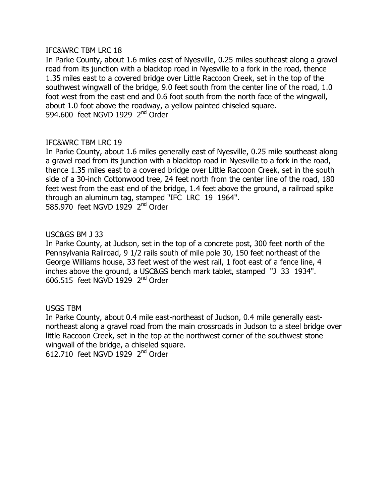In Parke County, about 1.6 miles east of Nyesville, 0.25 miles southeast along a gravel road from its junction with a blacktop road in Nyesville to a fork in the road, thence 1.35 miles east to a covered bridge over Little Raccoon Creek, set in the top of the southwest wingwall of the bridge, 9.0 feet south from the center line of the road, 1.0 foot west from the east end and 0.6 foot south from the north face of the wingwall, about 1.0 foot above the roadway, a yellow painted chiseled square. 594,600 feet NGVD 1929  $2<sup>nd</sup>$  Order

# IFC&WRC TBM LRC 19

In Parke County, about 1.6 miles generally east of Nyesville, 0.25 mile southeast along a gravel road from its junction with a blacktop road in Nyesville to a fork in the road, thence 1.35 miles east to a covered bridge over Little Raccoon Creek, set in the south side of a 30-inch Cottonwood tree, 24 feet north from the center line of the road, 180 feet west from the east end of the bridge, 1.4 feet above the ground, a railroad spike through an aluminum tag, stamped "IFC LRC 19 1964". 585.970 feet NGVD 1929 2<sup>nd</sup> Order

### USC&GS BM J 33

In Parke County, at Judson, set in the top of a concrete post, 300 feet north of the Pennsylvania Railroad, 9 1/2 rails south of mile pole 30, 150 feet northeast of the George Williams house, 33 feet west of the west rail, 1 foot east of a fence line, 4 inches above the ground, a USC&GS bench mark tablet, stamped "J 33 1934".  $606.515$  feet NGVD 1929  $2<sup>nd</sup>$  Order

## USGS TBM

In Parke County, about 0.4 mile east-northeast of Judson, 0.4 mile generally eastnortheast along a gravel road from the main crossroads in Judson to a steel bridge over little Raccoon Creek, set in the top at the northwest corner of the southwest stone wingwall of the bridge, a chiseled square.  $612.710$  feet NGVD 1929  $2<sup>nd</sup>$  Order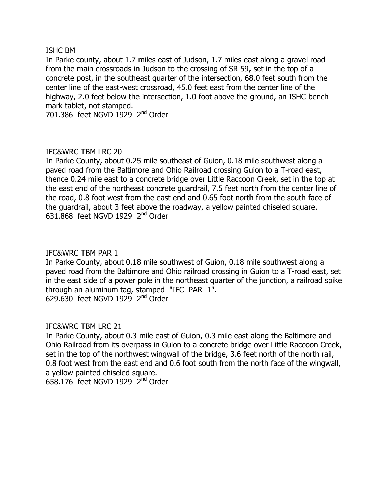### **ISHC BM**

In Parke county, about 1.7 miles east of Judson, 1.7 miles east along a gravel road from the main crossroads in Judson to the crossing of SR 59, set in the top of a concrete post, in the southeast quarter of the intersection, 68.0 feet south from the center line of the east-west crossroad, 45.0 feet east from the center line of the highway, 2.0 feet below the intersection, 1.0 foot above the ground, an ISHC bench mark tablet, not stamped.

 $701.386$  feet NGVD 1929  $2<sup>nd</sup>$  Order

# IFC&WRC TBM LRC 20

In Parke County, about 0.25 mile southeast of Guion, 0.18 mile southwest along a paved road from the Baltimore and Ohio Railroad crossing Guion to a T-road east, thence 0.24 mile east to a concrete bridge over Little Raccoon Creek, set in the top at the east end of the northeast concrete guardrail, 7.5 feet north from the center line of the road, 0.8 foot west from the east end and 0.65 foot north from the south face of the quardrail, about 3 feet above the roadway, a yellow painted chiseled square. 631.868 feet NGVD 1929  $2<sup>nd</sup>$  Order

## IFC&WRC TBM PAR 1

In Parke County, about 0.18 mile southwest of Guion, 0.18 mile southwest along a paved road from the Baltimore and Ohio railroad crossing in Guion to a T-road east, set in the east side of a power pole in the northeast quarter of the junction, a railroad spike through an aluminum tag, stamped "IFC PAR  $1$ ".  $629.630$  feet NGVD 1929  $2<sup>nd</sup>$  Order

## IFC&WRC TBM LRC 21

In Parke County, about 0.3 mile east of Guion, 0.3 mile east along the Baltimore and Ohio Railroad from its overpass in Guion to a concrete bridge over Little Raccoon Creek, set in the top of the northwest wingwall of the bridge, 3.6 feet north of the north rail, 0.8 foot west from the east end and 0.6 foot south from the north face of the wingwall, a yellow painted chiseled square. 658.176 feet NGVD 1929  $2<sup>nd</sup>$  Order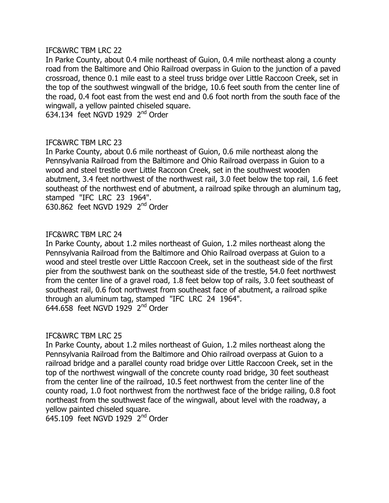In Parke County, about 0.4 mile northeast of Guion, 0.4 mile northeast along a county road from the Baltimore and Ohio Railroad overpass in Guion to the junction of a paved crossroad, thence 0.1 mile east to a steel truss bridge over Little Raccoon Creek, set in the top of the southwest wingwall of the bridge, 10.6 feet south from the center line of the road, 0.4 foot east from the west end and 0.6 foot north from the south face of the wingwall, a yellow painted chiseled square.

634.134 feet NGVD 1929 2<sup>nd</sup> Order

# IFC&WRC TBM LRC 23

In Parke County, about 0.6 mile northeast of Guion, 0.6 mile northeast along the Pennsylvania Railroad from the Baltimore and Ohio Railroad overpass in Guion to a wood and steel trestle over Little Raccoon Creek, set in the southwest wooden abutment, 3.4 feet northwest of the northwest rail, 3.0 feet below the top rail, 1.6 feet southeast of the northwest end of abutment, a railroad spike through an aluminum tag, stamped "IFC LRC 23 1964".

630.862 feet NGVD 1929  $2<sup>nd</sup>$  Order

## IFC&WRC TBM LRC 24

In Parke County, about 1.2 miles northeast of Guion, 1.2 miles northeast along the Pennsylvania Railroad from the Baltimore and Ohio Railroad overpass at Guion to a wood and steel trestle over Little Raccoon Creek, set in the southeast side of the first pier from the southwest bank on the southeast side of the trestle, 54.0 feet northwest from the center line of a gravel road, 1.8 feet below top of rails, 3.0 feet southeast of southeast rail, 0.6 foot northwest from southeast face of abutment, a railroad spike through an aluminum tag, stamped "IFC LRC 24 1964". 644.658 feet NGVD 1929  $2<sup>nd</sup>$  Order

## IFC&WRC TBM LRC 25

In Parke County, about 1.2 miles northeast of Guion, 1.2 miles northeast along the Pennsylvania Railroad from the Baltimore and Ohio railroad overpass at Guion to a railroad bridge and a parallel county road bridge over Little Raccoon Creek, set in the top of the northwest wingwall of the concrete county road bridge, 30 feet southeast from the center line of the railroad, 10.5 feet northwest from the center line of the county road, 1.0 foot northwest from the northwest face of the bridge railing, 0.8 foot northeast from the southwest face of the wingwall, about level with the roadway, a yellow painted chiseled square.

645.109 feet NGVD 1929  $2<sup>nd</sup>$  Order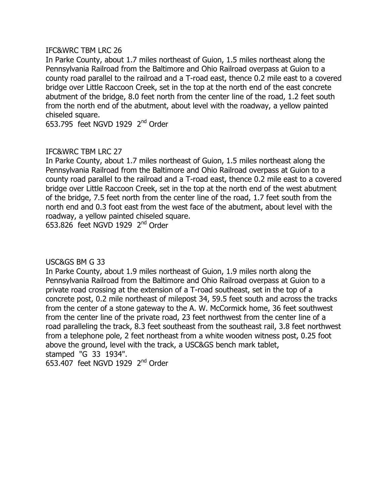In Parke County, about 1.7 miles northeast of Guion, 1.5 miles northeast along the Pennsylvania Railroad from the Baltimore and Ohio Railroad overpass at Guion to a county road parallel to the railroad and a T-road east, thence 0.2 mile east to a covered bridge over Little Raccoon Creek, set in the top at the north end of the east concrete abutment of the bridge, 8.0 feet north from the center line of the road, 1.2 feet south from the north end of the abutment, about level with the roadway, a yellow painted chiseled square.

653.795 feet NGVD 1929  $2<sup>nd</sup>$  Order

# IFC&WRC TBM LRC 27

In Parke County, about 1.7 miles northeast of Guion, 1.5 miles northeast along the Pennsylvania Railroad from the Baltimore and Ohio Railroad overpass at Guion to a county road parallel to the railroad and a T-road east, thence 0.2 mile east to a covered bridge over Little Raccoon Creek, set in the top at the north end of the west abutment of the bridge, 7.5 feet north from the center line of the road, 1.7 feet south from the north end and 0.3 foot east from the west face of the abutment, about level with the roadway, a yellow painted chiseled square.

653.826 feet NGVD 1929  $2<sup>nd</sup>$  Order

## USC&GS BM G 33

In Parke County, about 1.9 miles northeast of Guion, 1.9 miles north along the Pennsylvania Railroad from the Baltimore and Ohio Railroad overpass at Guion to a private road crossing at the extension of a T-road southeast, set in the top of a concrete post, 0.2 mile northeast of milepost 34, 59.5 feet south and across the tracks from the center of a stone gateway to the A. W. McCormick home, 36 feet southwest from the center line of the private road, 23 feet northwest from the center line of a road paralleling the track, 8.3 feet southeast from the southeast rail, 3.8 feet northwest from a telephone pole, 2 feet northeast from a white wooden witness post, 0.25 foot above the ground, level with the track, a USC&GS bench mark tablet, stamped "G 33 1934".

653.407 feet NGVD 1929  $2<sup>nd</sup>$  Order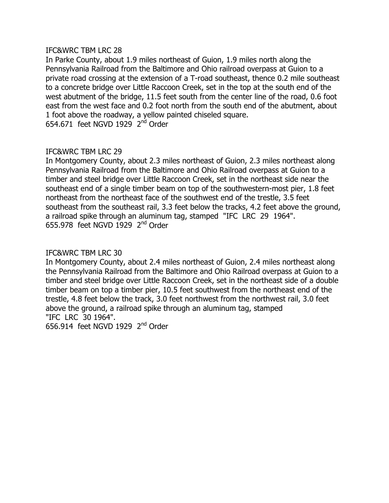In Parke County, about 1.9 miles northeast of Guion, 1.9 miles north along the Pennsylvania Railroad from the Baltimore and Ohio railroad overpass at Guion to a private road crossing at the extension of a T-road southeast, thence 0.2 mile southeast to a concrete bridge over Little Raccoon Creek, set in the top at the south end of the west abutment of the bridge, 11.5 feet south from the center line of the road, 0.6 foot east from the west face and 0.2 foot north from the south end of the abutment, about 1 foot above the roadway, a yellow painted chiseled square. 654.671 feet NGVD 1929  $2<sup>nd</sup>$  Order

## IFC&WRC TBM LRC 29

In Montgomery County, about 2.3 miles northeast of Guion, 2.3 miles northeast along Pennsylvania Railroad from the Baltimore and Ohio Railroad overpass at Guion to a timber and steel bridge over Little Raccoon Creek, set in the northeast side near the southeast end of a single timber beam on top of the southwestern-most pier, 1.8 feet northeast from the northeast face of the southwest end of the trestle, 3.5 feet southeast from the southeast rail, 3.3 feet below the tracks, 4.2 feet above the ground, a railroad spike through an aluminum tag, stamped "IFC LRC 29 1964".  $655.978$  feet NGVD 1929  $2<sup>nd</sup>$  Order

## IFC&WRC TBM LRC 30

In Montgomery County, about 2.4 miles northeast of Guion, 2.4 miles northeast along the Pennsylvania Railroad from the Baltimore and Ohio Railroad overpass at Guion to a timber and steel bridge over Little Raccoon Creek, set in the northeast side of a double timber beam on top a timber pier, 10.5 feet southwest from the northeast end of the trestle, 4.8 feet below the track, 3.0 feet northwest from the northwest rail, 3.0 feet above the ground, a railroad spike through an aluminum tag, stamped "IFC LRC 30 1964".

656.914 feet NGVD 1929  $2<sup>nd</sup>$  Order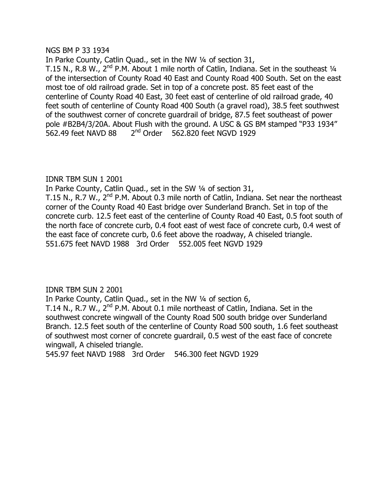### NGS BM P 33 1934

In Parke County, Catlin Quad., set in the NW 1/4 of section 31, T.15 N., R.8 W.,  $2^{nd}$  P.M. About 1 mile north of Catlin, Indiana. Set in the southeast  $1/4$ of the intersection of County Road 40 East and County Road 400 South. Set on the east most toe of old railroad grade. Set in top of a concrete post. 85 feet east of the centerline of County Road 40 East, 30 feet east of centerline of old railroad grade, 40 feet south of centerline of County Road 400 South (a gravel road), 38.5 feet southwest of the southwest corner of concrete quardrail of bridge, 87.5 feet southeast of power pole #B2B4/3/20A. About Flush with the ground. A USC & GS BM stamped "P33 1934"  $562.49$  feet NAVD 88  $2<sup>nd</sup>$  Order  $562.820$  feet NGVD 1929

# **IDNR TBM SUN 1 2001**

In Parke County, Catlin Quad., set in the SW 1/4 of section 31,

T.15 N., R.7 W.,  $2<sup>nd</sup>$  P.M. About 0.3 mile north of Catlin, Indiana. Set near the northeast corner of the County Road 40 East bridge over Sunderland Branch. Set in top of the concrete curb. 12.5 feet east of the centerline of County Road 40 East, 0.5 foot south of the north face of concrete curb, 0.4 foot east of west face of concrete curb, 0.4 west of the east face of concrete curb, 0.6 feet above the roadway, A chiseled triangle. 551.675 feet NAVD 1988 3rd Order 552.005 feet NGVD 1929

**IDNR TBM SUN 2 2001** 

In Parke County, Catlin Quad., set in the NW 1/4 of section 6,

T.14 N., R.7 W.,  $2<sup>nd</sup>$  P.M. About 0.1 mile northeast of Catlin, Indiana. Set in the southwest concrete wingwall of the County Road 500 south bridge over Sunderland Branch, 12.5 feet south of the centerline of County Road 500 south, 1.6 feet southeast of southwest most corner of concrete guardrail, 0.5 west of the east face of concrete wingwall, A chiseled triangle.

545.97 feet NAVD 1988 3rd Order 546.300 feet NGVD 1929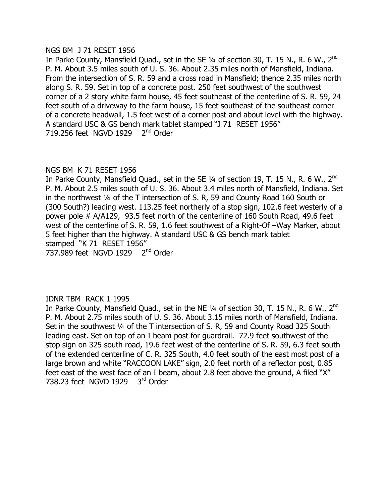#### NGS BM J 71 RESET 1956

In Parke County, Mansfield Quad., set in the SE 1/4 of section 30, T. 15 N., R. 6 W., 2<sup>nd</sup> P. M. About 3.5 miles south of U. S. 36. About 2.35 miles north of Mansfield, Indiana. From the intersection of S, R, 59 and a cross road in Mansfield; thence 2.35 miles north along S. R. 59. Set in top of a concrete post. 250 feet southwest of the southwest corner of a 2 story white farm house, 45 feet southeast of the centerline of S. R. 59, 24 feet south of a driveway to the farm house, 15 feet southeast of the southeast corner of a concrete headwall, 1.5 feet west of a corner post and about level with the highway. A standard USC & GS bench mark tablet stamped "J 71 RESET 1956" 719.256 feet NGVD 1929  $2<sup>nd</sup>$  Order

# NGS BM K 71 RESET 1956

In Parke County, Mansfield Quad., set in the SE 1/4 of section 19, T. 15 N., R. 6 W., 2<sup>nd</sup> P. M. About 2.5 miles south of U. S. 36. About 3.4 miles north of Mansfield, Indiana. Set in the northwest  $\frac{1}{4}$  of the T intersection of S. R, 59 and County Road 160 South or  $(300$  South?) leading west. 113.25 feet northerly of a stop sign, 102.6 feet westerly of a power pole  $#A/A129, 93.5$  feet north of the centerline of 160 South Road, 49.6 feet west of the centerline of S. R. 59, 1.6 feet southwest of a Right-Of -Way Marker, about 5 feet higher than the highway. A standard USC & GS bench mark tablet stamped "K 71 RESET 1956" 737.989 feet NGVD 1929  $2<sup>nd</sup>$  Order

## **IDNR TBM RACK 1 1995**

In Parke County, Mansfield Quad., set in the NE 1/4 of section 30, T. 15 N., R. 6 W., 2<sup>nd</sup> P. M. About 2.75 miles south of U. S. 36. About 3.15 miles north of Mansfield, Indiana. Set in the southwest 1/4 of the T intersection of S. R, 59 and County Road 325 South leading east. Set on top of an I beam post for quardrail. 72.9 feet southwest of the stop sign on 325 south road, 19.6 feet west of the centerline of S. R. 59, 6.3 feet south of the extended centerline of C. R. 325 South, 4.0 feet south of the east most post of a large brown and white "RACCOON LAKE" sign, 2.0 feet north of a reflector post, 0.85 feet east of the west face of an I beam, about 2.8 feet above the ground, A filed "X" 738.23 feet NGVD 1929  $3<sup>rd</sup>$  Order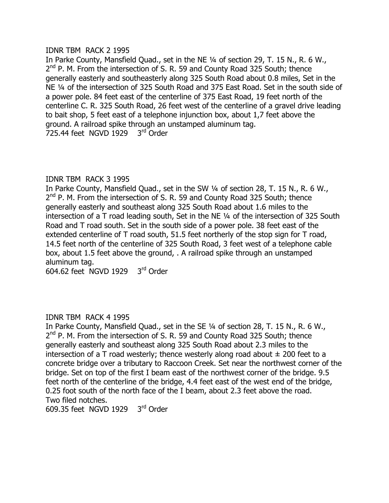### IDNR TBM RACK 2 1995

In Parke County, Mansfield Quad., set in the NE 1/4 of section 29, T. 15 N., R. 6 W., 2<sup>nd</sup> P. M. From the intersection of S. R. 59 and County Road 325 South; thence generally easterly and southeasterly along 325 South Road about 0.8 miles, Set in the NE 1/4 of the intersection of 325 South Road and 375 East Road. Set in the south side of a power pole. 84 feet east of the centerline of 375 East Road, 19 feet north of the centerline C. R. 325 South Road, 26 feet west of the centerline of a gravel drive leading to bait shop, 5 feet east of a telephone injunction box, about 1,7 feet above the ground. A railroad spike through an unstamped aluminum tag. 725.44 feet NGVD 1929  $3<sup>rd</sup>$  Order

## **IDNR TBM RACK 3 1995**

In Parke County, Mansfield Quad., set in the SW 1/4 of section 28, T. 15 N., R. 6 W.,  $2<sup>nd</sup>$  P. M. From the intersection of S. R. 59 and County Road 325 South; thence generally easterly and southeast along 325 South Road about 1.6 miles to the intersection of a T road leading south, Set in the NE  $\frac{1}{4}$  of the intersection of 325 South Road and T road south. Set in the south side of a power pole. 38 feet east of the extended centerline of T road south,  $51.5$  feet northerly of the stop sign for T road, 14.5 feet north of the centerline of 325 South Road, 3 feet west of a telephone cable box, about 1.5 feet above the ground, . A railroad spike through an unstamped aluminum taq.

 $604.62$  feet NGVD 1929  $3<sup>rd</sup>$  Order

## IDNR TBM RACK 4 1995

In Parke County, Mansfield Quad., set in the SE 1/4 of section 28, T. 15 N., R. 6 W.,  $2<sup>nd</sup>$  P. M. From the intersection of S. R. 59 and County Road 325 South; thence generally easterly and southeast along 325 South Road about 2.3 miles to the intersection of a T road westerly; thence westerly along road about  $\pm$  200 feet to a concrete bridge over a tributary to Raccoon Creek. Set near the northwest corner of the bridge. Set on top of the first I beam east of the northwest corner of the bridge. 9.5 feet north of the centerline of the bridge, 4.4 feet east of the west end of the bridge, 0.25 foot south of the north face of the I beam, about 2.3 feet above the road. Two filed notches.

 $609.35$  feet NGVD 1929  $3<sup>rd</sup>$  Order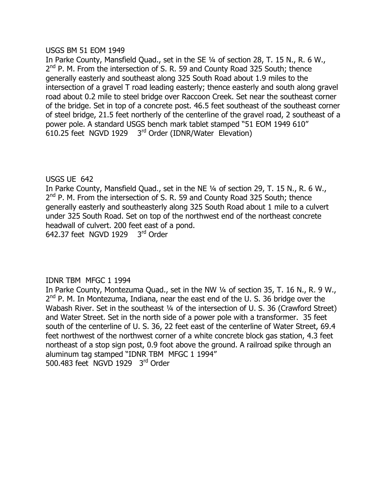### USGS BM 51 EOM 1949

In Parke County, Mansfield Quad., set in the SE 1/4 of section 28, T. 15 N., R. 6 W.,  $2<sup>nd</sup>$  P. M. From the intersection of S. R. 59 and County Road 325 South; thence generally easterly and southeast along 325 South Road about 1.9 miles to the  $intersection$  of a gravel T road leading easterly; thence easterly and south along gravel road about 0.2 mile to steel bridge over Raccoon Creek. Set near the southeast corner of the bridge. Set in top of a concrete post. 46.5 feet southeast of the southeast corner of steel bridge, 21.5 feet northerly of the centerline of the gravel road, 2 southeast of a power pole. A standard USGS bench mark tablet stamped "51 EOM 1949 610"  $610.25$  feet NGVD 1929  $3<sup>rd</sup>$  Order (IDNR/Water Elevation)

# **USGS UE 642**

In Parke County, Mansfield Quad., set in the NE 1/4 of section 29, T. 15 N., R. 6 W.,  $2<sup>nd</sup>$  P. M. From the intersection of S. R. 59 and County Road 325 South; thence generally easterly and southeasterly along 325 South Road about 1 mile to a culvert under 325 South Road. Set on top of the northwest end of the northeast concrete headwall of culvert. 200 feet east of a pond. 642.37 feet NGVD 1929  $3<sup>rd</sup>$  Order

## IDNR TBM MFGC 1 1994

In Parke County, Montezuma Quad., set in the NW 1/4 of section 35, T. 16 N., R. 9 W.,  $2<sup>nd</sup>$  P. M. In Montezuma, Indiana, near the east end of the U. S. 36 bridge over the Wabash River. Set in the southeast 1/4 of the intersection of U. S. 36 (Crawford Street) and Water Street. Set in the north side of a power pole with a transformer. 35 feet south of the centerline of U. S. 36, 22 feet east of the centerline of Water Street, 69.4 feet northwest of the northwest corner of a white concrete block gas station, 4.3 feet northeast of a stop sign post, 0.9 foot above the ground. A railroad spike through an aluminum tag stamped "IDNR TBM MFGC 1 1994" 500.483 feet NGVD 1929  $3<sup>rd</sup>$  Order